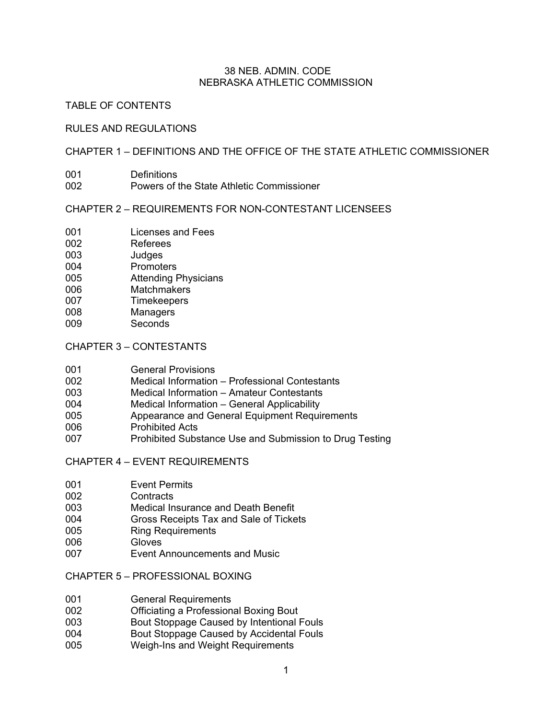### 38 NEB. ADMIN. CODE NEBRASKA ATHLETIC COMMISSION

### TABLE OF CONTENTS

#### RULES AND REGULATIONS

## CHAPTER 1 – DEFINITIONS AND THE OFFICE OF THE STATE ATHLETIC COMMISSIONER

- 001 Definitions<br>002 Powers of t
	- Powers of the State Athletic Commissioner

### CHAPTER 2 – REQUIREMENTS FOR NON-CONTESTANT LICENSEES

- 001 Licenses and Fees
- 002 Referees
- 003 Judges<br>004 Promote
- **Promoters**
- 005 Attending Physicians
- 006 Matchmakers
- 007 Timekeepers
- 008 Managers 009 Seconds
- 

# CHAPTER 3 – CONTESTANTS

| 001 | <b>General Provisions</b> |
|-----|---------------------------|
|-----|---------------------------|

- 002 Medical Information Professional Contestants
- 003 Medical Information Amateur Contestants
- 004 Medical Information General Applicability
- 005 Appearance and General Equipment Requirements
- 006 Prohibited Acts
- 007 Prohibited Substance Use and Submission to Drug Testing

CHAPTER 4 – EVENT REQUIREMENTS

- 001 Event Permits
- 002 Contracts
- 003 Medical Insurance and Death Benefit
- 004 Gross Receipts Tax and Sale of Tickets
- 005 Ring Requirements
- 006 Gloves
- 007 Event Announcements and Music

CHAPTER 5 – PROFESSIONAL BOXING

- 001 **General Requirements**<br>002 **Changing** Officiating a Profession
- Officiating a Professional Boxing Bout
- 003 Bout Stoppage Caused by Intentional Fouls
- 004 Bout Stoppage Caused by Accidental Fouls
- 005 Weigh-Ins and Weight Requirements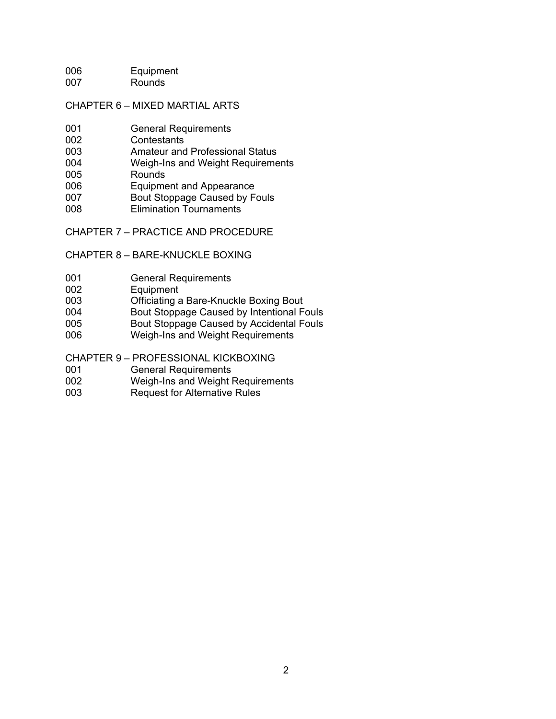006 Equipment 007 Rounds

## CHAPTER 6 – MIXED MARTIAL ARTS

- 001 General Requirements
- 002 Contestants
- 003 Amateur and Professional Status
- 004 Weigh-Ins and Weight Requirements
- 005 Rounds<br>006 Equipme
- Equipment and Appearance
- 007 Bout Stoppage Caused by Fouls
- 008 Elimination Tournaments

CHAPTER 7 – PRACTICE AND PROCEDURE

### CHAPTER 8 – BARE-KNUCKLE BOXING

- 001 General Requirements
- 002 Equipment
- 003 Officiating a Bare-Knuckle Boxing Bout
- 004 Bout Stoppage Caused by Intentional Fouls
- 005 Bout Stoppage Caused by Accidental Fouls
- 006 Weigh-Ins and Weight Requirements
- CHAPTER 9 PROFESSIONAL KICKBOXING<br>001 **Ceneral Requirements**
- 001 **General Requirements**<br>002 **Weigh-Ins and Weight F**
- Weigh-Ins and Weight Requirements
- 003 Request for Alternative Rules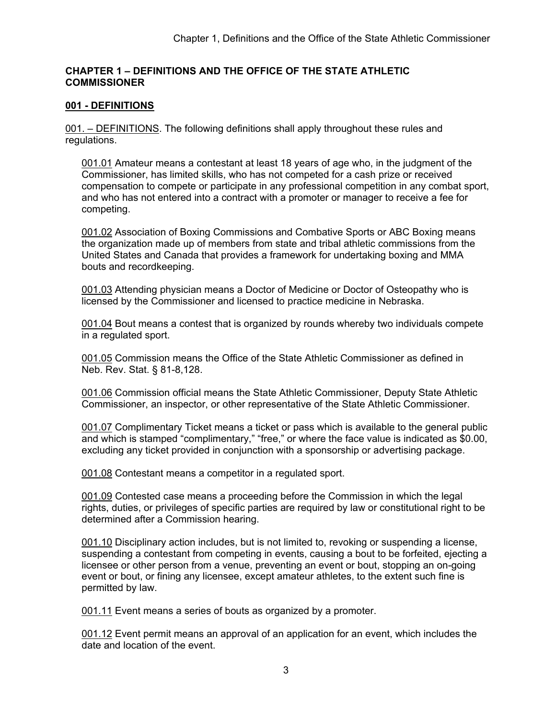# **CHAPTER 1 – DEFINITIONS AND THE OFFICE OF THE STATE ATHLETIC COMMISSIONER**

# **001 - DEFINITIONS**

001. – DEFINITIONS. The following definitions shall apply throughout these rules and regulations.

001.01 Amateur means a contestant at least 18 years of age who, in the judgment of the Commissioner, has limited skills, who has not competed for a cash prize or received compensation to compete or participate in any professional competition in any combat sport, and who has not entered into a contract with a promoter or manager to receive a fee for competing.

001.02 Association of Boxing Commissions and Combative Sports or ABC Boxing means the organization made up of members from state and tribal athletic commissions from the United States and Canada that provides a framework for undertaking boxing and MMA bouts and recordkeeping.

001.03 Attending physician means a Doctor of Medicine or Doctor of Osteopathy who is licensed by the Commissioner and licensed to practice medicine in Nebraska.

001.04 Bout means a contest that is organized by rounds whereby two individuals compete in a regulated sport.

001.05 Commission means the Office of the State Athletic Commissioner as defined in Neb. Rev. Stat. § 81-8,128.

001.06 Commission official means the State Athletic Commissioner, Deputy State Athletic Commissioner, an inspector, or other representative of the State Athletic Commissioner.

001.07 Complimentary Ticket means a ticket or pass which is available to the general public and which is stamped "complimentary," "free," or where the face value is indicated as \$0.00, excluding any ticket provided in conjunction with a sponsorship or advertising package.

001.08 Contestant means a competitor in a regulated sport.

001.09 Contested case means a proceeding before the Commission in which the legal rights, duties, or privileges of specific parties are required by law or constitutional right to be determined after a Commission hearing.

001.10 Disciplinary action includes, but is not limited to, revoking or suspending a license, suspending a contestant from competing in events, causing a bout to be forfeited, ejecting a licensee or other person from a venue, preventing an event or bout, stopping an on-going event or bout, or fining any licensee, except amateur athletes, to the extent such fine is permitted by law.

001.11 Event means a series of bouts as organized by a promoter.

001.12 Event permit means an approval of an application for an event, which includes the date and location of the event.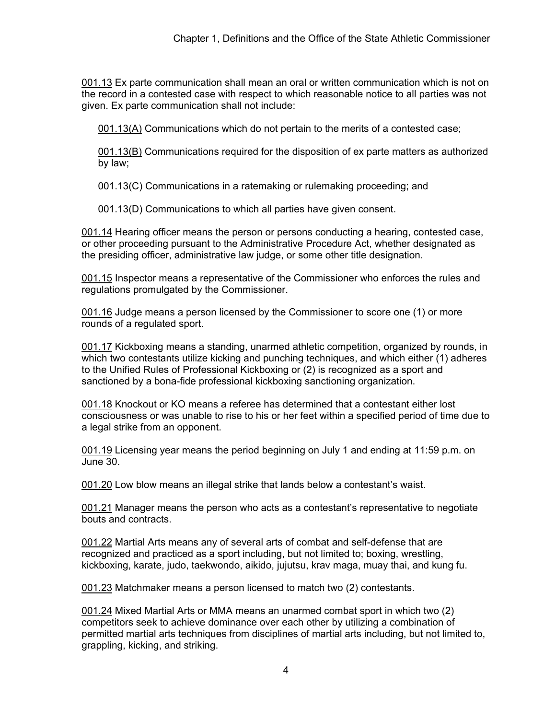001.13 Ex parte communication shall mean an oral or written communication which is not on the record in a contested case with respect to which reasonable notice to all parties was not given. Ex parte communication shall not include:

001.13(A) Communications which do not pertain to the merits of a contested case;

001.13(B) Communications required for the disposition of ex parte matters as authorized by law;

001.13(C) Communications in a ratemaking or rulemaking proceeding; and

001.13(D) Communications to which all parties have given consent.

001.14 Hearing officer means the person or persons conducting a hearing, contested case, or other proceeding pursuant to the Administrative Procedure Act, whether designated as the presiding officer, administrative law judge, or some other title designation.

001.15 Inspector means a representative of the Commissioner who enforces the rules and regulations promulgated by the Commissioner.

001.16 Judge means a person licensed by the Commissioner to score one (1) or more rounds of a regulated sport.

001.17 Kickboxing means a standing, unarmed athletic competition, organized by rounds, in which two contestants utilize kicking and punching techniques, and which either (1) adheres to the Unified Rules of Professional Kickboxing or (2) is recognized as a sport and sanctioned by a bona-fide professional kickboxing sanctioning organization.

001.18 Knockout or KO means a referee has determined that a contestant either lost consciousness or was unable to rise to his or her feet within a specified period of time due to a legal strike from an opponent.

001.19 Licensing year means the period beginning on July 1 and ending at 11:59 p.m. on June 30.

001.20 Low blow means an illegal strike that lands below a contestant's waist.

001.21 Manager means the person who acts as a contestant's representative to negotiate bouts and contracts.

001.22 Martial Arts means any of several arts of combat and self-defense that are recognized and practiced as a sport including, but not limited to; boxing, wrestling, kickboxing, karate, judo, taekwondo, aikido, jujutsu, krav maga, muay thai, and kung fu.

001.23 Matchmaker means a person licensed to match two (2) contestants.

001.24 Mixed Martial Arts or MMA means an unarmed combat sport in which two (2) competitors seek to achieve dominance over each other by utilizing a combination of permitted martial arts techniques from disciplines of martial arts including, but not limited to, grappling, kicking, and striking.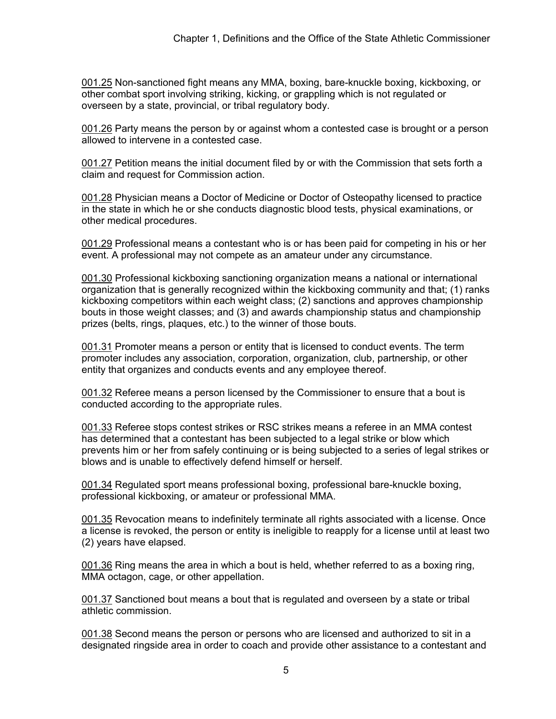001.25 Non-sanctioned fight means any MMA, boxing, bare-knuckle boxing, kickboxing, or other combat sport involving striking, kicking, or grappling which is not regulated or overseen by a state, provincial, or tribal regulatory body.

001.26 Party means the person by or against whom a contested case is brought or a person allowed to intervene in a contested case.

001.27 Petition means the initial document filed by or with the Commission that sets forth a claim and request for Commission action.

001.28 Physician means a Doctor of Medicine or Doctor of Osteopathy licensed to practice in the state in which he or she conducts diagnostic blood tests, physical examinations, or other medical procedures.

001.29 Professional means a contestant who is or has been paid for competing in his or her event. A professional may not compete as an amateur under any circumstance.

001.30 Professional kickboxing sanctioning organization means a national or international organization that is generally recognized within the kickboxing community and that; (1) ranks kickboxing competitors within each weight class; (2) sanctions and approves championship bouts in those weight classes; and (3) and awards championship status and championship prizes (belts, rings, plaques, etc.) to the winner of those bouts.

001.31 Promoter means a person or entity that is licensed to conduct events. The term promoter includes any association, corporation, organization, club, partnership, or other entity that organizes and conducts events and any employee thereof.

001.32 Referee means a person licensed by the Commissioner to ensure that a bout is conducted according to the appropriate rules.

001.33 Referee stops contest strikes or RSC strikes means a referee in an MMA contest has determined that a contestant has been subjected to a legal strike or blow which prevents him or her from safely continuing or is being subjected to a series of legal strikes or blows and is unable to effectively defend himself or herself.

001.34 Regulated sport means professional boxing, professional bare-knuckle boxing, professional kickboxing, or amateur or professional MMA.

001.35 Revocation means to indefinitely terminate all rights associated with a license. Once a license is revoked, the person or entity is ineligible to reapply for a license until at least two (2) years have elapsed.

001.36 Ring means the area in which a bout is held, whether referred to as a boxing ring, MMA octagon, cage, or other appellation.

001.37 Sanctioned bout means a bout that is regulated and overseen by a state or tribal athletic commission.

001.38 Second means the person or persons who are licensed and authorized to sit in a designated ringside area in order to coach and provide other assistance to a contestant and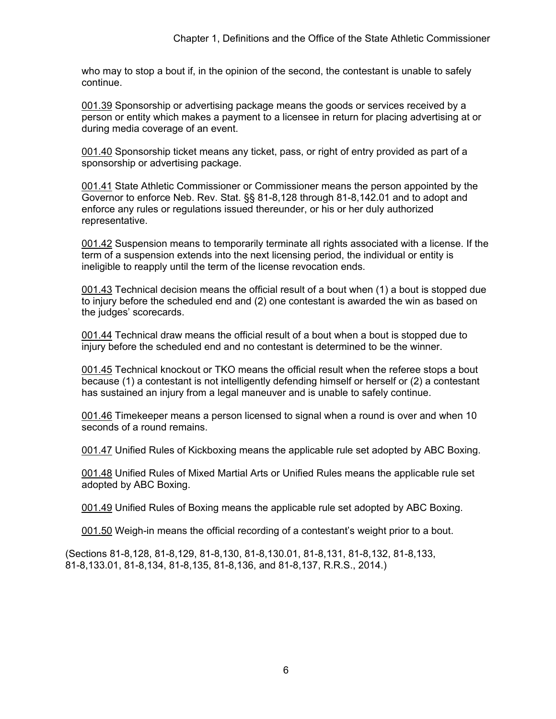who may to stop a bout if, in the opinion of the second, the contestant is unable to safely continue.

001.39 Sponsorship or advertising package means the goods or services received by a person or entity which makes a payment to a licensee in return for placing advertising at or during media coverage of an event.

001.40 Sponsorship ticket means any ticket, pass, or right of entry provided as part of a sponsorship or advertising package.

001.41 State Athletic Commissioner or Commissioner means the person appointed by the Governor to enforce Neb. Rev. Stat. §§ 81-8,128 through 81-8,142.01 and to adopt and enforce any rules or regulations issued thereunder, or his or her duly authorized representative.

001.42 Suspension means to temporarily terminate all rights associated with a license. If the term of a suspension extends into the next licensing period, the individual or entity is ineligible to reapply until the term of the license revocation ends.

001.43 Technical decision means the official result of a bout when (1) a bout is stopped due to injury before the scheduled end and (2) one contestant is awarded the win as based on the judges' scorecards.

001.44 Technical draw means the official result of a bout when a bout is stopped due to injury before the scheduled end and no contestant is determined to be the winner.

001.45 Technical knockout or TKO means the official result when the referee stops a bout because (1) a contestant is not intelligently defending himself or herself or (2) a contestant has sustained an injury from a legal maneuver and is unable to safely continue.

001.46 Timekeeper means a person licensed to signal when a round is over and when 10 seconds of a round remains.

001.47 Unified Rules of Kickboxing means the applicable rule set adopted by ABC Boxing.

001.48 Unified Rules of Mixed Martial Arts or Unified Rules means the applicable rule set adopted by ABC Boxing.

001.49 Unified Rules of Boxing means the applicable rule set adopted by ABC Boxing.

001.50 Weigh-in means the official recording of a contestant's weight prior to a bout.

(Sections 81-8,128, 81-8,129, 81-8,130, 81-8,130.01, 81-8,131, 81-8,132, 81-8,133, 81-8,133.01, 81-8,134, 81-8,135, 81-8,136, and 81-8,137, R.R.S., 2014.)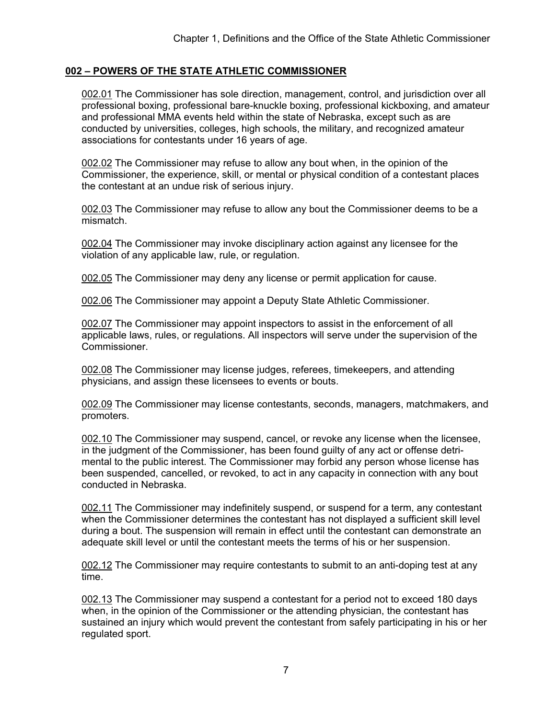# **002 – POWERS OF THE STATE ATHLETIC COMMISSIONER**

002.01 The Commissioner has sole direction, management, control, and jurisdiction over all professional boxing, professional bare-knuckle boxing, professional kickboxing, and amateur and professional MMA events held within the state of Nebraska, except such as are conducted by universities, colleges, high schools, the military, and recognized amateur associations for contestants under 16 years of age.

002.02 The Commissioner may refuse to allow any bout when, in the opinion of the Commissioner, the experience, skill, or mental or physical condition of a contestant places the contestant at an undue risk of serious injury.

002.03 The Commissioner may refuse to allow any bout the Commissioner deems to be a mismatch.

002.04 The Commissioner may invoke disciplinary action against any licensee for the violation of any applicable law, rule, or regulation.

002.05 The Commissioner may deny any license or permit application for cause.

002.06 The Commissioner may appoint a Deputy State Athletic Commissioner.

002.07 The Commissioner may appoint inspectors to assist in the enforcement of all applicable laws, rules, or regulations. All inspectors will serve under the supervision of the **Commissioner** 

002.08 The Commissioner may license judges, referees, timekeepers, and attending physicians, and assign these licensees to events or bouts.

002.09 The Commissioner may license contestants, seconds, managers, matchmakers, and promoters.

002.10 The Commissioner may suspend, cancel, or revoke any license when the licensee, in the judgment of the Commissioner, has been found guilty of any act or offense detrimental to the public interest. The Commissioner may forbid any person whose license has been suspended, cancelled, or revoked, to act in any capacity in connection with any bout conducted in Nebraska.

002.11 The Commissioner may indefinitely suspend, or suspend for a term, any contestant when the Commissioner determines the contestant has not displayed a sufficient skill level during a bout. The suspension will remain in effect until the contestant can demonstrate an adequate skill level or until the contestant meets the terms of his or her suspension.

002.12 The Commissioner may require contestants to submit to an anti-doping test at any time.

002.13 The Commissioner may suspend a contestant for a period not to exceed 180 days when, in the opinion of the Commissioner or the attending physician, the contestant has sustained an injury which would prevent the contestant from safely participating in his or her regulated sport.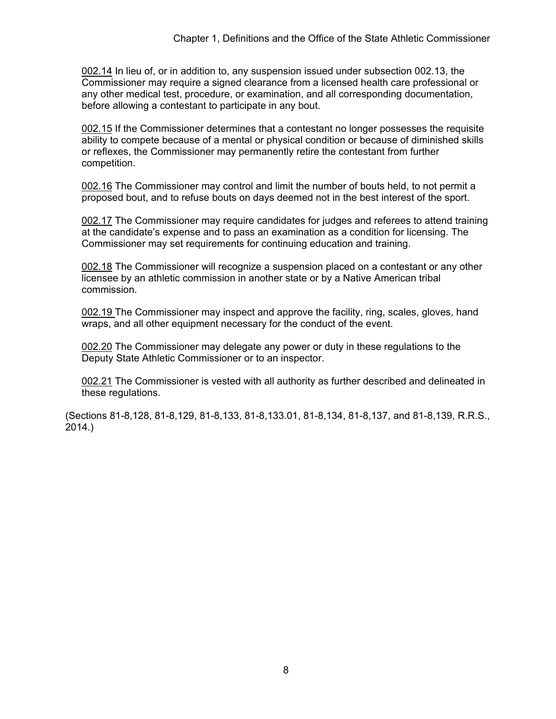002.14 In lieu of, or in addition to, any suspension issued under subsection 002.13, the Commissioner may require a signed clearance from a licensed health care professional or any other medical test, procedure, or examination, and all corresponding documentation, before allowing a contestant to participate in any bout.

002.15 If the Commissioner determines that a contestant no longer possesses the requisite ability to compete because of a mental or physical condition or because of diminished skills or reflexes, the Commissioner may permanently retire the contestant from further competition.

002.16 The Commissioner may control and limit the number of bouts held, to not permit a proposed bout, and to refuse bouts on days deemed not in the best interest of the sport.

002.17 The Commissioner may require candidates for judges and referees to attend training at the candidate's expense and to pass an examination as a condition for licensing. The Commissioner may set requirements for continuing education and training.

002.18 The Commissioner will recognize a suspension placed on a contestant or any other licensee by an athletic commission in another state or by a Native American tribal commission.

002.19 The Commissioner may inspect and approve the facility, ring, scales, gloves, hand wraps, and all other equipment necessary for the conduct of the event.

002.20 The Commissioner may delegate any power or duty in these regulations to the Deputy State Athletic Commissioner or to an inspector.

002.21 The Commissioner is vested with all authority as further described and delineated in these regulations.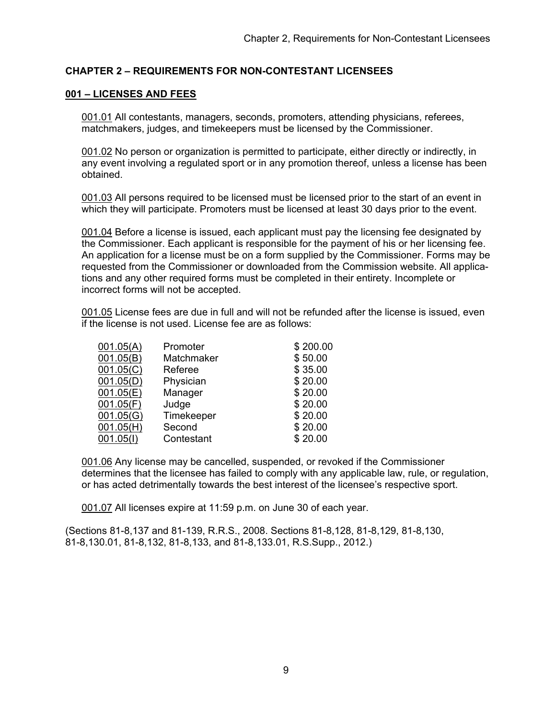## **CHAPTER 2 – REQUIREMENTS FOR NON-CONTESTANT LICENSEES**

### **001 – LICENSES AND FEES**

001.01 All contestants, managers, seconds, promoters, attending physicians, referees, matchmakers, judges, and timekeepers must be licensed by the Commissioner.

001.02 No person or organization is permitted to participate, either directly or indirectly, in any event involving a regulated sport or in any promotion thereof, unless a license has been obtained.

001.03 All persons required to be licensed must be licensed prior to the start of an event in which they will participate. Promoters must be licensed at least 30 days prior to the event.

001.04 Before a license is issued, each applicant must pay the licensing fee designated by the Commissioner. Each applicant is responsible for the payment of his or her licensing fee. An application for a license must be on a form supplied by the Commissioner. Forms may be requested from the Commissioner or downloaded from the Commission website. All applications and any other required forms must be completed in their entirety. Incomplete or incorrect forms will not be accepted.

001.05 License fees are due in full and will not be refunded after the license is issued, even if the license is not used. License fee are as follows:

| 001.05(A) | Promoter   | \$200.00 |
|-----------|------------|----------|
| 001.05(B) | Matchmaker | \$50.00  |
| 001.05(C) | Referee    | \$35.00  |
| 001.05(D) | Physician  | \$20.00  |
| 001.05(E) | Manager    | \$20.00  |
| 001.05(F) | Judge      | \$20.00  |
| 001.05(G) | Timekeeper | \$20.00  |
| 001.05(H) | Second     | \$20.00  |
| 001.05(1) | Contestant | \$20.00  |

001.06 Any license may be cancelled, suspended, or revoked if the Commissioner determines that the licensee has failed to comply with any applicable law, rule, or regulation, or has acted detrimentally towards the best interest of the licensee's respective sport.

001.07 All licenses expire at 11:59 p.m. on June 30 of each year.

(Sections 81-8,137 and 81-139, R.R.S., 2008. Sections 81-8,128, 81-8,129, 81-8,130, 81-8,130.01, 81-8,132, 81-8,133, and 81-8,133.01, R.S.Supp., 2012.)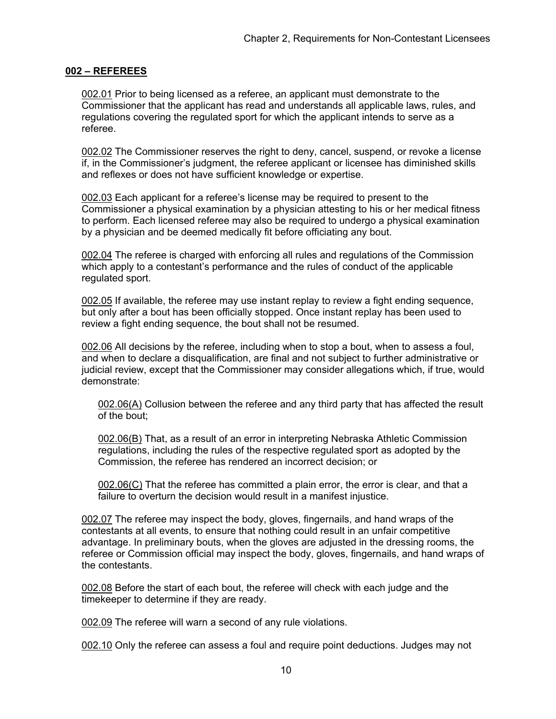#### **002 – REFEREES**

002.01 Prior to being licensed as a referee, an applicant must demonstrate to the Commissioner that the applicant has read and understands all applicable laws, rules, and regulations covering the regulated sport for which the applicant intends to serve as a referee.

002.02 The Commissioner reserves the right to deny, cancel, suspend, or revoke a license if, in the Commissioner's judgment, the referee applicant or licensee has diminished skills and reflexes or does not have sufficient knowledge or expertise.

002.03 Each applicant for a referee's license may be required to present to the Commissioner a physical examination by a physician attesting to his or her medical fitness to perform. Each licensed referee may also be required to undergo a physical examination by a physician and be deemed medically fit before officiating any bout.

002.04 The referee is charged with enforcing all rules and regulations of the Commission which apply to a contestant's performance and the rules of conduct of the applicable regulated sport.

002.05 If available, the referee may use instant replay to review a fight ending sequence, but only after a bout has been officially stopped. Once instant replay has been used to review a fight ending sequence, the bout shall not be resumed.

002.06 All decisions by the referee, including when to stop a bout, when to assess a foul, and when to declare a disqualification, are final and not subject to further administrative or judicial review, except that the Commissioner may consider allegations which, if true, would demonstrate:

002.06(A) Collusion between the referee and any third party that has affected the result of the bout;

002.06(B) That, as a result of an error in interpreting Nebraska Athletic Commission regulations, including the rules of the respective regulated sport as adopted by the Commission, the referee has rendered an incorrect decision; or

002.06(C) That the referee has committed a plain error, the error is clear, and that a failure to overturn the decision would result in a manifest injustice.

002.07 The referee may inspect the body, gloves, fingernails, and hand wraps of the contestants at all events, to ensure that nothing could result in an unfair competitive advantage. In preliminary bouts, when the gloves are adjusted in the dressing rooms, the referee or Commission official may inspect the body, gloves, fingernails, and hand wraps of the contestants.

002.08 Before the start of each bout, the referee will check with each judge and the timekeeper to determine if they are ready.

002.09 The referee will warn a second of any rule violations.

002.10 Only the referee can assess a foul and require point deductions. Judges may not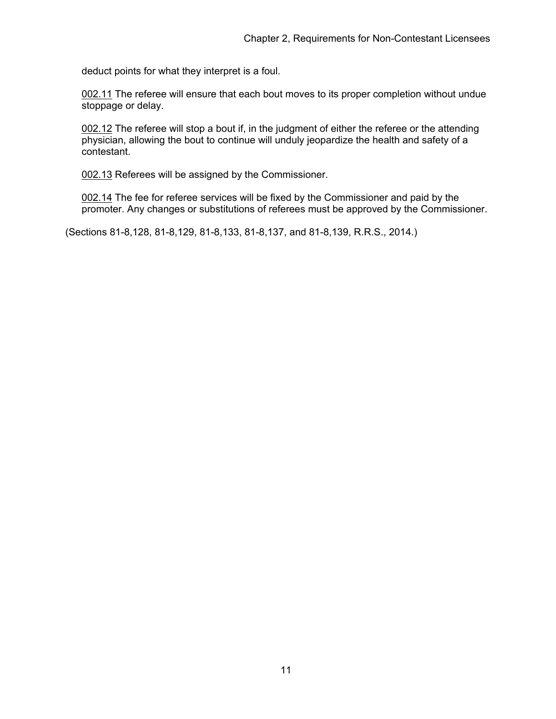deduct points for what they interpret is a foul.

002.11 The referee will ensure that each bout moves to its proper completion without undue stoppage or delay.

002.12 The referee will stop a bout if, in the judgment of either the referee or the attending physician, allowing the bout to continue will unduly jeopardize the health and safety of a contestant.

002.13 Referees will be assigned by the Commissioner.

002.14 The fee for referee services will be fixed by the Commissioner and paid by the promoter. Any changes or substitutions of referees must be approved by the Commissioner.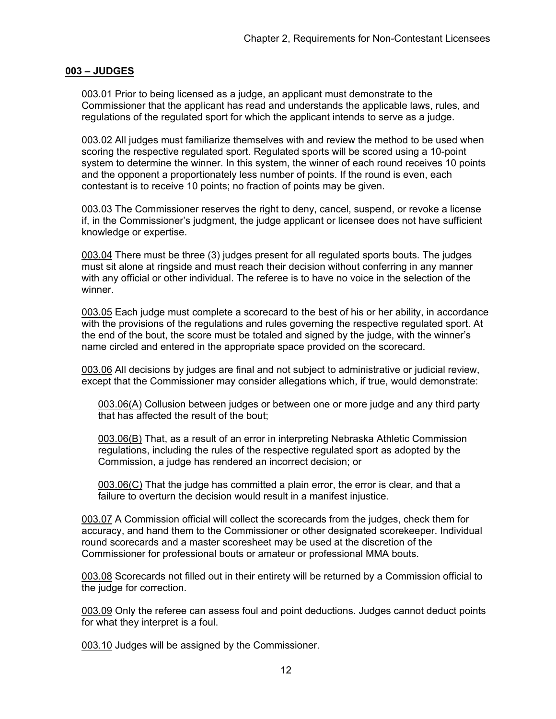### **003 – JUDGES**

003.01 Prior to being licensed as a judge, an applicant must demonstrate to the Commissioner that the applicant has read and understands the applicable laws, rules, and regulations of the regulated sport for which the applicant intends to serve as a judge.

003.02 All judges must familiarize themselves with and review the method to be used when scoring the respective regulated sport. Regulated sports will be scored using a 10-point system to determine the winner. In this system, the winner of each round receives 10 points and the opponent a proportionately less number of points. If the round is even, each contestant is to receive 10 points; no fraction of points may be given.

003.03 The Commissioner reserves the right to deny, cancel, suspend, or revoke a license if, in the Commissioner's judgment, the judge applicant or licensee does not have sufficient knowledge or expertise.

003.04 There must be three (3) judges present for all regulated sports bouts. The judges must sit alone at ringside and must reach their decision without conferring in any manner with any official or other individual. The referee is to have no voice in the selection of the winner.

003.05 Each judge must complete a scorecard to the best of his or her ability, in accordance with the provisions of the regulations and rules governing the respective regulated sport. At the end of the bout, the score must be totaled and signed by the judge, with the winner's name circled and entered in the appropriate space provided on the scorecard.

003.06 All decisions by judges are final and not subject to administrative or judicial review, except that the Commissioner may consider allegations which, if true, would demonstrate:

003.06(A) Collusion between judges or between one or more judge and any third party that has affected the result of the bout;

003.06(B) That, as a result of an error in interpreting Nebraska Athletic Commission regulations, including the rules of the respective regulated sport as adopted by the Commission, a judge has rendered an incorrect decision; or

003.06(C) That the judge has committed a plain error, the error is clear, and that a failure to overturn the decision would result in a manifest injustice.

003.07 A Commission official will collect the scorecards from the judges, check them for accuracy, and hand them to the Commissioner or other designated scorekeeper. Individual round scorecards and a master scoresheet may be used at the discretion of the Commissioner for professional bouts or amateur or professional MMA bouts.

003.08 Scorecards not filled out in their entirety will be returned by a Commission official to the judge for correction.

003.09 Only the referee can assess foul and point deductions. Judges cannot deduct points for what they interpret is a foul.

003.10 Judges will be assigned by the Commissioner.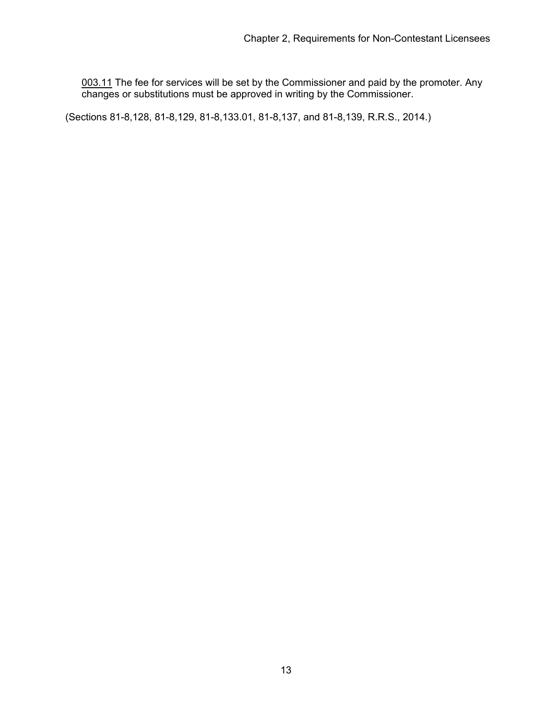003.11 The fee for services will be set by the Commissioner and paid by the promoter. Any changes or substitutions must be approved in writing by the Commissioner.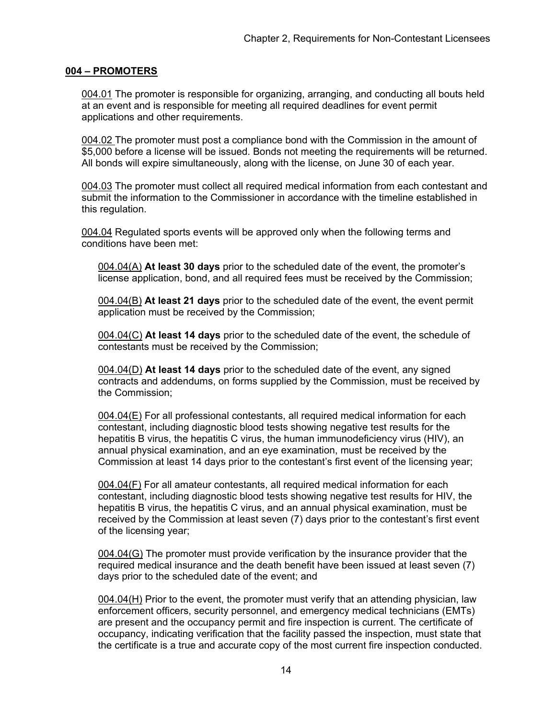### **004 – PROMOTERS**

004.01 The promoter is responsible for organizing, arranging, and conducting all bouts held at an event and is responsible for meeting all required deadlines for event permit applications and other requirements.

004.02 The promoter must post a compliance bond with the Commission in the amount of \$5,000 before a license will be issued. Bonds not meeting the requirements will be returned. All bonds will expire simultaneously, along with the license, on June 30 of each year.

004.03 The promoter must collect all required medical information from each contestant and submit the information to the Commissioner in accordance with the timeline established in this regulation.

004.04 Regulated sports events will be approved only when the following terms and conditions have been met:

004.04(A) **At least 30 days** prior to the scheduled date of the event, the promoter's license application, bond, and all required fees must be received by the Commission;

004.04(B) **At least 21 days** prior to the scheduled date of the event, the event permit application must be received by the Commission;

004.04(C) **At least 14 days** prior to the scheduled date of the event, the schedule of contestants must be received by the Commission;

004.04(D) **At least 14 days** prior to the scheduled date of the event, any signed contracts and addendums, on forms supplied by the Commission, must be received by the Commission;

004.04(E) For all professional contestants, all required medical information for each contestant, including diagnostic blood tests showing negative test results for the hepatitis B virus, the hepatitis C virus, the human immunodeficiency virus (HIV), an annual physical examination, and an eye examination, must be received by the Commission at least 14 days prior to the contestant's first event of the licensing year;

004.04(F) For all amateur contestants, all required medical information for each contestant, including diagnostic blood tests showing negative test results for HIV, the hepatitis B virus, the hepatitis C virus, and an annual physical examination, must be received by the Commission at least seven (7) days prior to the contestant's first event of the licensing year;

004.04(G) The promoter must provide verification by the insurance provider that the required medical insurance and the death benefit have been issued at least seven (7) days prior to the scheduled date of the event; and

004.04(H) Prior to the event, the promoter must verify that an attending physician, law enforcement officers, security personnel, and emergency medical technicians (EMTs) are present and the occupancy permit and fire inspection is current. The certificate of occupancy, indicating verification that the facility passed the inspection, must state that the certificate is a true and accurate copy of the most current fire inspection conducted.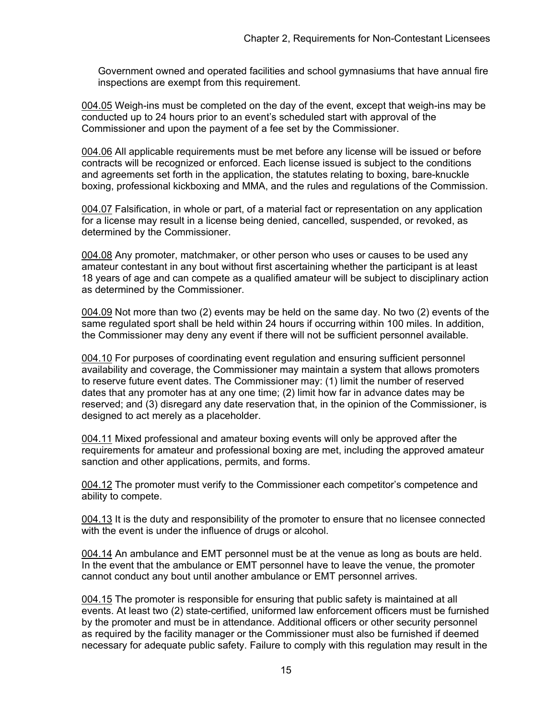Government owned and operated facilities and school gymnasiums that have annual fire inspections are exempt from this requirement.

004.05 Weigh-ins must be completed on the day of the event, except that weigh-ins may be conducted up to 24 hours prior to an event's scheduled start with approval of the Commissioner and upon the payment of a fee set by the Commissioner.

004.06 All applicable requirements must be met before any license will be issued or before contracts will be recognized or enforced. Each license issued is subject to the conditions and agreements set forth in the application, the statutes relating to boxing, bare-knuckle boxing, professional kickboxing and MMA, and the rules and regulations of the Commission.

004.07 Falsification, in whole or part, of a material fact or representation on any application for a license may result in a license being denied, cancelled, suspended, or revoked, as determined by the Commissioner.

004.08 Any promoter, matchmaker, or other person who uses or causes to be used any amateur contestant in any bout without first ascertaining whether the participant is at least 18 years of age and can compete as a qualified amateur will be subject to disciplinary action as determined by the Commissioner.

004.09 Not more than two (2) events may be held on the same day. No two (2) events of the same regulated sport shall be held within 24 hours if occurring within 100 miles. In addition, the Commissioner may deny any event if there will not be sufficient personnel available.

004.10 For purposes of coordinating event regulation and ensuring sufficient personnel availability and coverage, the Commissioner may maintain a system that allows promoters to reserve future event dates. The Commissioner may: (1) limit the number of reserved dates that any promoter has at any one time; (2) limit how far in advance dates may be reserved; and (3) disregard any date reservation that, in the opinion of the Commissioner, is designed to act merely as a placeholder.

004.11 Mixed professional and amateur boxing events will only be approved after the requirements for amateur and professional boxing are met, including the approved amateur sanction and other applications, permits, and forms.

004.12 The promoter must verify to the Commissioner each competitor's competence and ability to compete.

004.13 It is the duty and responsibility of the promoter to ensure that no licensee connected with the event is under the influence of drugs or alcohol.

004.14 An ambulance and EMT personnel must be at the venue as long as bouts are held. In the event that the ambulance or EMT personnel have to leave the venue, the promoter cannot conduct any bout until another ambulance or EMT personnel arrives.

004.15 The promoter is responsible for ensuring that public safety is maintained at all events. At least two (2) state-certified, uniformed law enforcement officers must be furnished by the promoter and must be in attendance. Additional officers or other security personnel as required by the facility manager or the Commissioner must also be furnished if deemed necessary for adequate public safety. Failure to comply with this regulation may result in the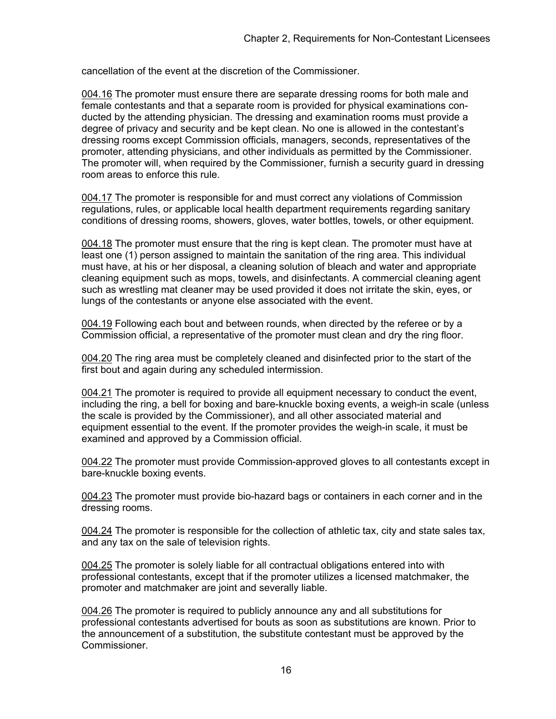cancellation of the event at the discretion of the Commissioner.

004.16 The promoter must ensure there are separate dressing rooms for both male and female contestants and that a separate room is provided for physical examinations conducted by the attending physician. The dressing and examination rooms must provide a degree of privacy and security and be kept clean. No one is allowed in the contestant's dressing rooms except Commission officials, managers, seconds, representatives of the promoter, attending physicians, and other individuals as permitted by the Commissioner. The promoter will, when required by the Commissioner, furnish a security guard in dressing room areas to enforce this rule.

004.17 The promoter is responsible for and must correct any violations of Commission regulations, rules, or applicable local health department requirements regarding sanitary conditions of dressing rooms, showers, gloves, water bottles, towels, or other equipment.

004.18 The promoter must ensure that the ring is kept clean. The promoter must have at least one (1) person assigned to maintain the sanitation of the ring area. This individual must have, at his or her disposal, a cleaning solution of bleach and water and appropriate cleaning equipment such as mops, towels, and disinfectants. A commercial cleaning agent such as wrestling mat cleaner may be used provided it does not irritate the skin, eyes, or lungs of the contestants or anyone else associated with the event.

004.19 Following each bout and between rounds, when directed by the referee or by a Commission official, a representative of the promoter must clean and dry the ring floor.

004.20 The ring area must be completely cleaned and disinfected prior to the start of the first bout and again during any scheduled intermission.

004.21 The promoter is required to provide all equipment necessary to conduct the event, including the ring, a bell for boxing and bare-knuckle boxing events, a weigh-in scale (unless the scale is provided by the Commissioner), and all other associated material and equipment essential to the event. If the promoter provides the weigh-in scale, it must be examined and approved by a Commission official.

004.22 The promoter must provide Commission-approved gloves to all contestants except in bare-knuckle boxing events.

004.23 The promoter must provide bio-hazard bags or containers in each corner and in the dressing rooms.

004.24 The promoter is responsible for the collection of athletic tax, city and state sales tax, and any tax on the sale of television rights.

004.25 The promoter is solely liable for all contractual obligations entered into with professional contestants, except that if the promoter utilizes a licensed matchmaker, the promoter and matchmaker are joint and severally liable.

004.26 The promoter is required to publicly announce any and all substitutions for professional contestants advertised for bouts as soon as substitutions are known. Prior to the announcement of a substitution, the substitute contestant must be approved by the Commissioner.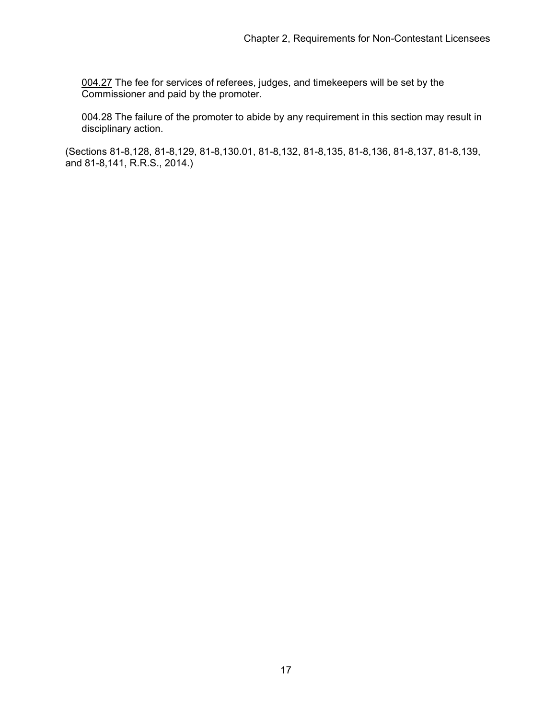004.27 The fee for services of referees, judges, and timekeepers will be set by the Commissioner and paid by the promoter.

004.28 The failure of the promoter to abide by any requirement in this section may result in disciplinary action.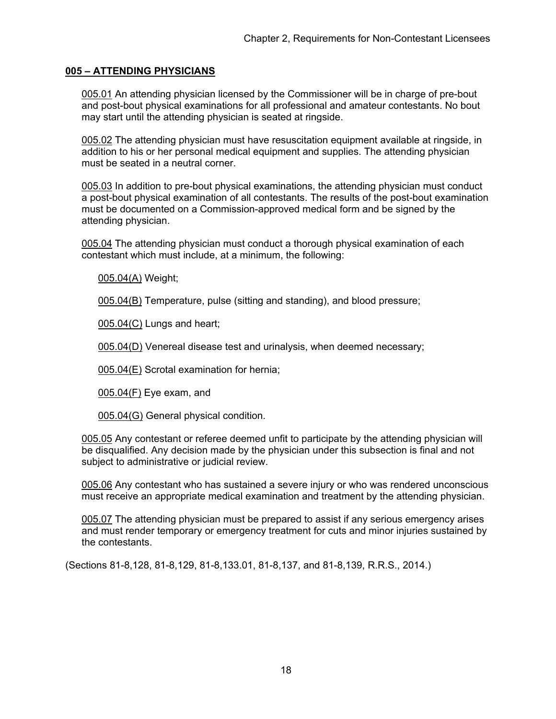# **005 – ATTENDING PHYSICIANS**

005.01 An attending physician licensed by the Commissioner will be in charge of pre-bout and post-bout physical examinations for all professional and amateur contestants. No bout may start until the attending physician is seated at ringside.

005.02 The attending physician must have resuscitation equipment available at ringside, in addition to his or her personal medical equipment and supplies. The attending physician must be seated in a neutral corner.

005.03 In addition to pre-bout physical examinations, the attending physician must conduct a post-bout physical examination of all contestants. The results of the post-bout examination must be documented on a Commission-approved medical form and be signed by the attending physician.

005.04 The attending physician must conduct a thorough physical examination of each contestant which must include, at a minimum, the following:

005.04(A) Weight;

005.04(B) Temperature, pulse (sitting and standing), and blood pressure;

005.04(C) Lungs and heart;

005.04(D) Venereal disease test and urinalysis, when deemed necessary;

005.04(E) Scrotal examination for hernia;

005.04(F) Eye exam, and

005.04(G) General physical condition.

005.05 Any contestant or referee deemed unfit to participate by the attending physician will be disqualified. Any decision made by the physician under this subsection is final and not subject to administrative or judicial review.

005.06 Any contestant who has sustained a severe injury or who was rendered unconscious must receive an appropriate medical examination and treatment by the attending physician.

005.07 The attending physician must be prepared to assist if any serious emergency arises and must render temporary or emergency treatment for cuts and minor injuries sustained by the contestants.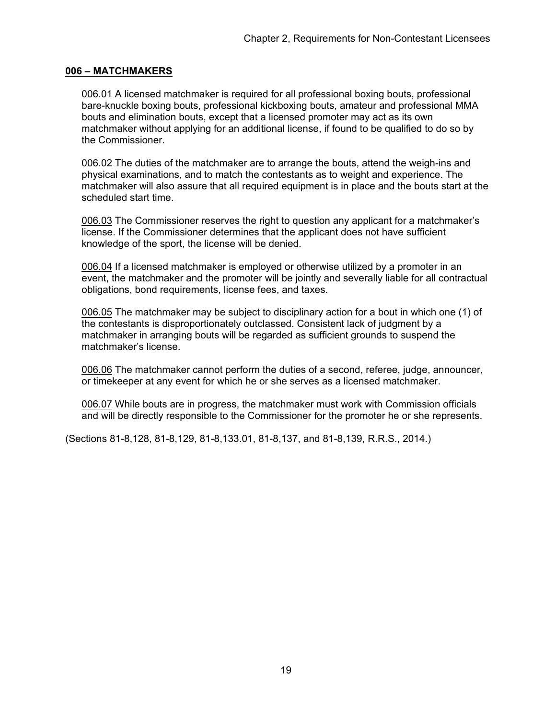### **006 – MATCHMAKERS**

006.01 A licensed matchmaker is required for all professional boxing bouts, professional bare-knuckle boxing bouts, professional kickboxing bouts, amateur and professional MMA bouts and elimination bouts, except that a licensed promoter may act as its own matchmaker without applying for an additional license, if found to be qualified to do so by the Commissioner.

006.02 The duties of the matchmaker are to arrange the bouts, attend the weigh-ins and physical examinations, and to match the contestants as to weight and experience. The matchmaker will also assure that all required equipment is in place and the bouts start at the scheduled start time.

006.03 The Commissioner reserves the right to question any applicant for a matchmaker's license. If the Commissioner determines that the applicant does not have sufficient knowledge of the sport, the license will be denied.

006.04 If a licensed matchmaker is employed or otherwise utilized by a promoter in an event, the matchmaker and the promoter will be jointly and severally liable for all contractual obligations, bond requirements, license fees, and taxes.

006.05 The matchmaker may be subject to disciplinary action for a bout in which one (1) of the contestants is disproportionately outclassed. Consistent lack of judgment by a matchmaker in arranging bouts will be regarded as sufficient grounds to suspend the matchmaker's license.

006.06 The matchmaker cannot perform the duties of a second, referee, judge, announcer, or timekeeper at any event for which he or she serves as a licensed matchmaker.

006.07 While bouts are in progress, the matchmaker must work with Commission officials and will be directly responsible to the Commissioner for the promoter he or she represents.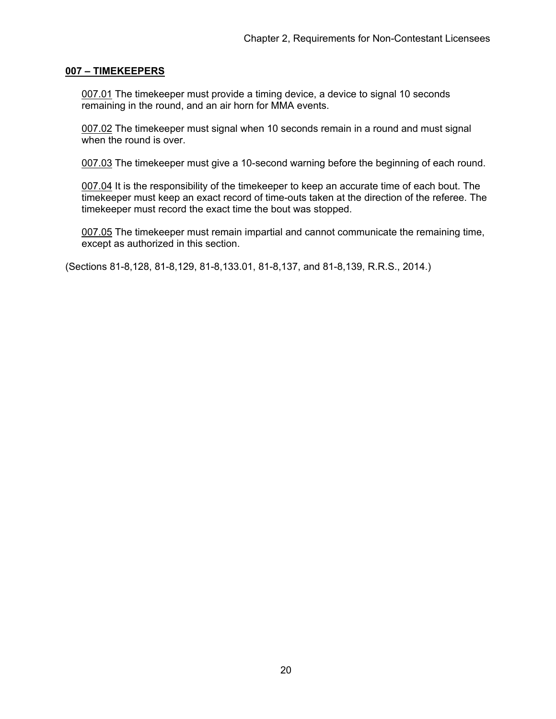### **007 – TIMEKEEPERS**

007.01 The timekeeper must provide a timing device, a device to signal 10 seconds remaining in the round, and an air horn for MMA events.

007.02 The timekeeper must signal when 10 seconds remain in a round and must signal when the round is over.

007.03 The timekeeper must give a 10-second warning before the beginning of each round.

007.04 It is the responsibility of the timekeeper to keep an accurate time of each bout. The timekeeper must keep an exact record of time-outs taken at the direction of the referee. The timekeeper must record the exact time the bout was stopped.

007.05 The timekeeper must remain impartial and cannot communicate the remaining time, except as authorized in this section.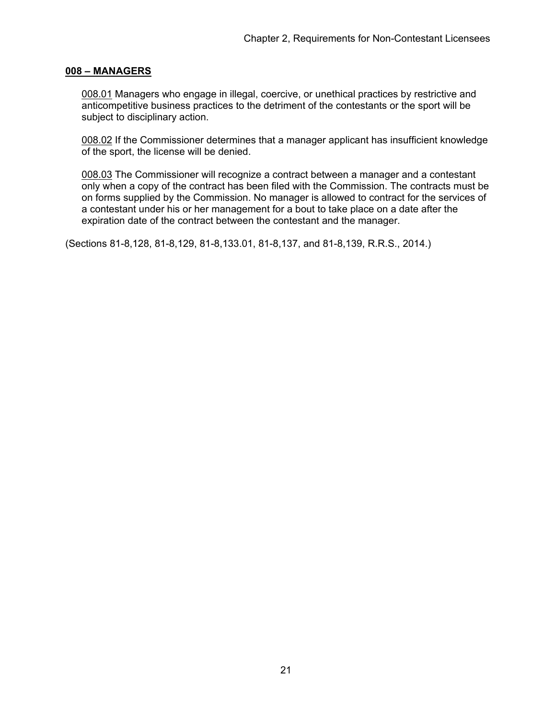#### **008 – MANAGERS**

008.01 Managers who engage in illegal, coercive, or unethical practices by restrictive and anticompetitive business practices to the detriment of the contestants or the sport will be subject to disciplinary action.

008.02 If the Commissioner determines that a manager applicant has insufficient knowledge of the sport, the license will be denied.

008.03 The Commissioner will recognize a contract between a manager and a contestant only when a copy of the contract has been filed with the Commission. The contracts must be on forms supplied by the Commission. No manager is allowed to contract for the services of a contestant under his or her management for a bout to take place on a date after the expiration date of the contract between the contestant and the manager.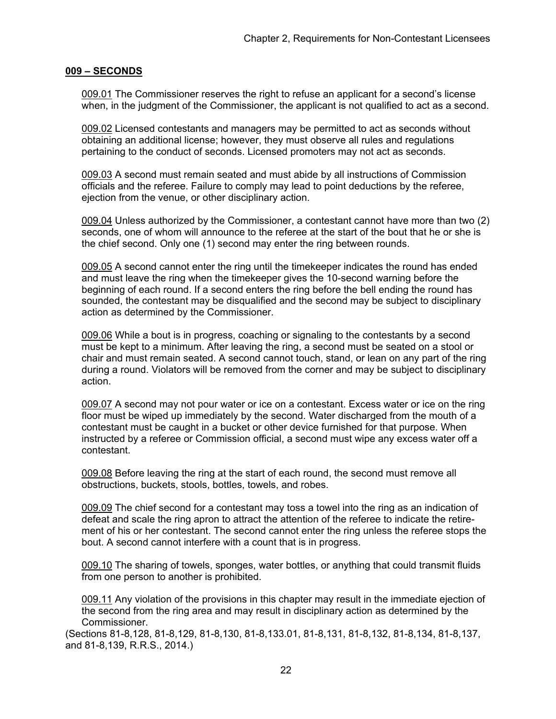#### **009 – SECONDS**

009.01 The Commissioner reserves the right to refuse an applicant for a second's license when, in the judgment of the Commissioner, the applicant is not qualified to act as a second.

009.02 Licensed contestants and managers may be permitted to act as seconds without obtaining an additional license; however, they must observe all rules and regulations pertaining to the conduct of seconds. Licensed promoters may not act as seconds.

009.03 A second must remain seated and must abide by all instructions of Commission officials and the referee. Failure to comply may lead to point deductions by the referee, ejection from the venue, or other disciplinary action.

009.04 Unless authorized by the Commissioner, a contestant cannot have more than two (2) seconds, one of whom will announce to the referee at the start of the bout that he or she is the chief second. Only one (1) second may enter the ring between rounds.

009.05 A second cannot enter the ring until the timekeeper indicates the round has ended and must leave the ring when the timekeeper gives the 10-second warning before the beginning of each round. If a second enters the ring before the bell ending the round has sounded, the contestant may be disqualified and the second may be subject to disciplinary action as determined by the Commissioner.

009.06 While a bout is in progress, coaching or signaling to the contestants by a second must be kept to a minimum. After leaving the ring, a second must be seated on a stool or chair and must remain seated. A second cannot touch, stand, or lean on any part of the ring during a round. Violators will be removed from the corner and may be subject to disciplinary action.

009.07 A second may not pour water or ice on a contestant. Excess water or ice on the ring floor must be wiped up immediately by the second. Water discharged from the mouth of a contestant must be caught in a bucket or other device furnished for that purpose. When instructed by a referee or Commission official, a second must wipe any excess water off a contestant.

009.08 Before leaving the ring at the start of each round, the second must remove all obstructions, buckets, stools, bottles, towels, and robes.

009.09 The chief second for a contestant may toss a towel into the ring as an indication of defeat and scale the ring apron to attract the attention of the referee to indicate the retirement of his or her contestant. The second cannot enter the ring unless the referee stops the bout. A second cannot interfere with a count that is in progress.

009.10 The sharing of towels, sponges, water bottles, or anything that could transmit fluids from one person to another is prohibited.

009.11 Any violation of the provisions in this chapter may result in the immediate ejection of the second from the ring area and may result in disciplinary action as determined by the Commissioner.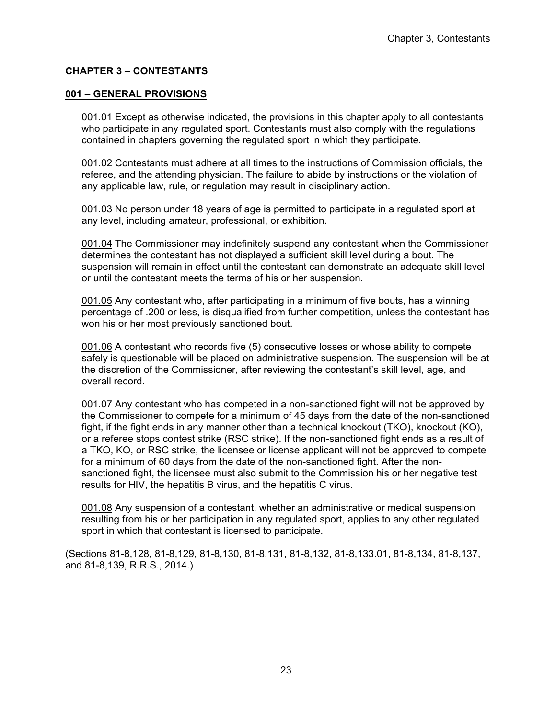# **CHAPTER 3 – CONTESTANTS**

### **001 – GENERAL PROVISIONS**

001.01 Except as otherwise indicated, the provisions in this chapter apply to all contestants who participate in any regulated sport. Contestants must also comply with the regulations contained in chapters governing the regulated sport in which they participate.

001.02 Contestants must adhere at all times to the instructions of Commission officials, the referee, and the attending physician. The failure to abide by instructions or the violation of any applicable law, rule, or regulation may result in disciplinary action.

001.03 No person under 18 years of age is permitted to participate in a regulated sport at any level, including amateur, professional, or exhibition.

001.04 The Commissioner may indefinitely suspend any contestant when the Commissioner determines the contestant has not displayed a sufficient skill level during a bout. The suspension will remain in effect until the contestant can demonstrate an adequate skill level or until the contestant meets the terms of his or her suspension.

001.05 Any contestant who, after participating in a minimum of five bouts, has a winning percentage of .200 or less, is disqualified from further competition, unless the contestant has won his or her most previously sanctioned bout.

001.06 A contestant who records five (5) consecutive losses or whose ability to compete safely is questionable will be placed on administrative suspension. The suspension will be at the discretion of the Commissioner, after reviewing the contestant's skill level, age, and overall record.

001.07 Any contestant who has competed in a non-sanctioned fight will not be approved by the Commissioner to compete for a minimum of 45 days from the date of the non-sanctioned fight, if the fight ends in any manner other than a technical knockout (TKO), knockout (KO), or a referee stops contest strike (RSC strike). If the non-sanctioned fight ends as a result of a TKO, KO, or RSC strike, the licensee or license applicant will not be approved to compete for a minimum of 60 days from the date of the non-sanctioned fight. After the nonsanctioned fight, the licensee must also submit to the Commission his or her negative test results for HIV, the hepatitis B virus, and the hepatitis C virus.

001.08 Any suspension of a contestant, whether an administrative or medical suspension resulting from his or her participation in any regulated sport, applies to any other regulated sport in which that contestant is licensed to participate.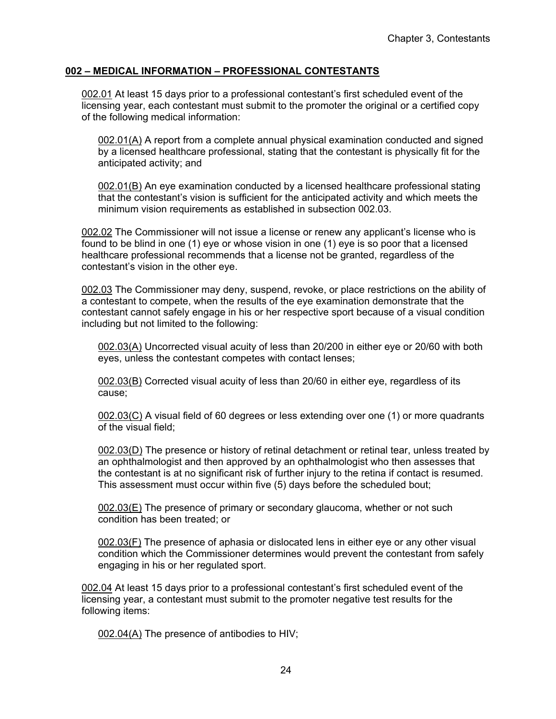# **002 – MEDICAL INFORMATION – PROFESSIONAL CONTESTANTS**

002.01 At least 15 days prior to a professional contestant's first scheduled event of the licensing year, each contestant must submit to the promoter the original or a certified copy of the following medical information:

002.01(A) A report from a complete annual physical examination conducted and signed by a licensed healthcare professional, stating that the contestant is physically fit for the anticipated activity; and

002.01(B) An eye examination conducted by a licensed healthcare professional stating that the contestant's vision is sufficient for the anticipated activity and which meets the minimum vision requirements as established in subsection 002.03.

002.02 The Commissioner will not issue a license or renew any applicant's license who is found to be blind in one (1) eye or whose vision in one (1) eye is so poor that a licensed healthcare professional recommends that a license not be granted, regardless of the contestant's vision in the other eye.

002.03 The Commissioner may deny, suspend, revoke, or place restrictions on the ability of a contestant to compete, when the results of the eye examination demonstrate that the contestant cannot safely engage in his or her respective sport because of a visual condition including but not limited to the following:

002.03(A) Uncorrected visual acuity of less than 20/200 in either eye or 20/60 with both eyes, unless the contestant competes with contact lenses;

002.03(B) Corrected visual acuity of less than 20/60 in either eye, regardless of its cause;

002.03(C) A visual field of 60 degrees or less extending over one (1) or more quadrants of the visual field;

002.03(D) The presence or history of retinal detachment or retinal tear, unless treated by an ophthalmologist and then approved by an ophthalmologist who then assesses that the contestant is at no significant risk of further injury to the retina if contact is resumed. This assessment must occur within five (5) days before the scheduled bout;

002.03(E) The presence of primary or secondary glaucoma, whether or not such condition has been treated; or

002.03(F) The presence of aphasia or dislocated lens in either eye or any other visual condition which the Commissioner determines would prevent the contestant from safely engaging in his or her regulated sport.

002.04 At least 15 days prior to a professional contestant's first scheduled event of the licensing year, a contestant must submit to the promoter negative test results for the following items:

002.04(A) The presence of antibodies to HIV;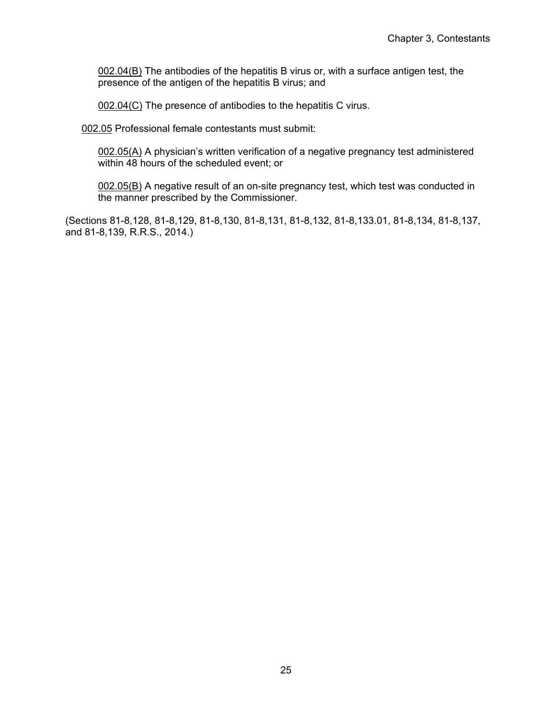002.04(B) The antibodies of the hepatitis B virus or, with a surface antigen test, the presence of the antigen of the hepatitis B virus; and

002.04(C) The presence of antibodies to the hepatitis C virus.

002.05 Professional female contestants must submit:

002.05(A) A physician's written verification of a negative pregnancy test administered within 48 hours of the scheduled event; or

002.05(B) A negative result of an on-site pregnancy test, which test was conducted in the manner prescribed by the Commissioner.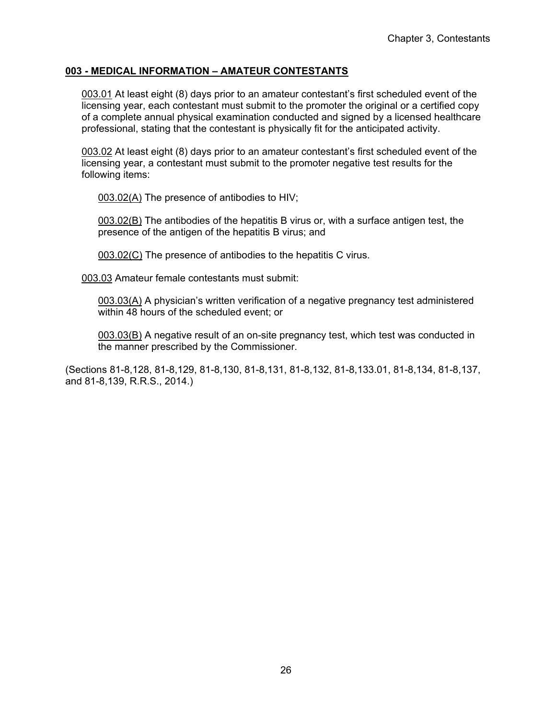# **003 - MEDICAL INFORMATION – AMATEUR CONTESTANTS**

003.01 At least eight (8) days prior to an amateur contestant's first scheduled event of the licensing year, each contestant must submit to the promoter the original or a certified copy of a complete annual physical examination conducted and signed by a licensed healthcare professional, stating that the contestant is physically fit for the anticipated activity.

003.02 At least eight (8) days prior to an amateur contestant's first scheduled event of the licensing year, a contestant must submit to the promoter negative test results for the following items:

003.02(A) The presence of antibodies to HIV;

003.02(B) The antibodies of the hepatitis B virus or, with a surface antigen test, the presence of the antigen of the hepatitis B virus; and

003.02(C) The presence of antibodies to the hepatitis C virus.

003.03 Amateur female contestants must submit:

003.03(A) A physician's written verification of a negative pregnancy test administered within 48 hours of the scheduled event; or

003.03(B) A negative result of an on-site pregnancy test, which test was conducted in the manner prescribed by the Commissioner.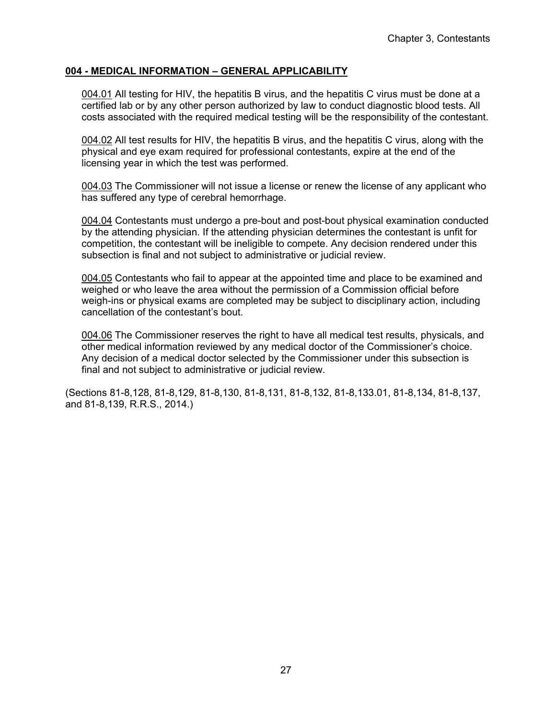## **004 - MEDICAL INFORMATION – GENERAL APPLICABILITY**

004.01 All testing for HIV, the hepatitis B virus, and the hepatitis C virus must be done at a certified lab or by any other person authorized by law to conduct diagnostic blood tests. All costs associated with the required medical testing will be the responsibility of the contestant.

004.02 All test results for HIV, the hepatitis B virus, and the hepatitis C virus, along with the physical and eye exam required for professional contestants, expire at the end of the licensing year in which the test was performed.

004.03 The Commissioner will not issue a license or renew the license of any applicant who has suffered any type of cerebral hemorrhage.

004.04 Contestants must undergo a pre-bout and post-bout physical examination conducted by the attending physician. If the attending physician determines the contestant is unfit for competition, the contestant will be ineligible to compete. Any decision rendered under this subsection is final and not subject to administrative or judicial review.

004.05 Contestants who fail to appear at the appointed time and place to be examined and weighed or who leave the area without the permission of a Commission official before weigh-ins or physical exams are completed may be subject to disciplinary action, including cancellation of the contestant's bout.

004.06 The Commissioner reserves the right to have all medical test results, physicals, and other medical information reviewed by any medical doctor of the Commissioner's choice. Any decision of a medical doctor selected by the Commissioner under this subsection is final and not subject to administrative or judicial review.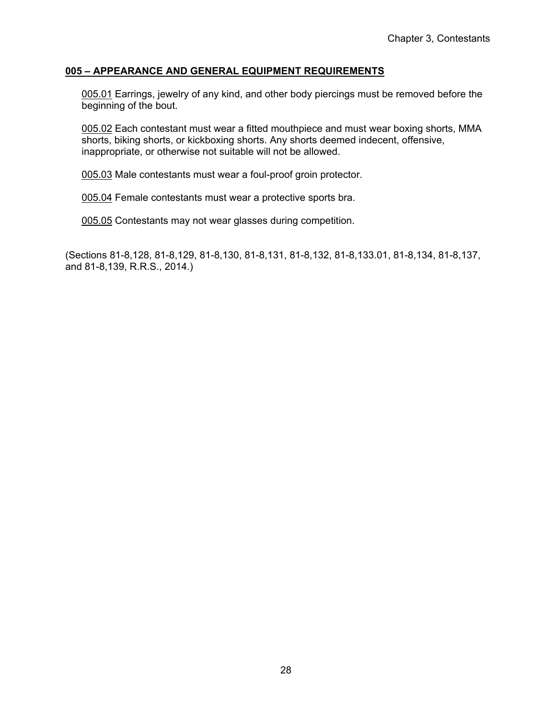## **005 – APPEARANCE AND GENERAL EQUIPMENT REQUIREMENTS**

005.01 Earrings, jewelry of any kind, and other body piercings must be removed before the beginning of the bout.

005.02 Each contestant must wear a fitted mouthpiece and must wear boxing shorts, MMA shorts, biking shorts, or kickboxing shorts. Any shorts deemed indecent, offensive, inappropriate, or otherwise not suitable will not be allowed.

005.03 Male contestants must wear a foul-proof groin protector.

005.04 Female contestants must wear a protective sports bra.

005.05 Contestants may not wear glasses during competition.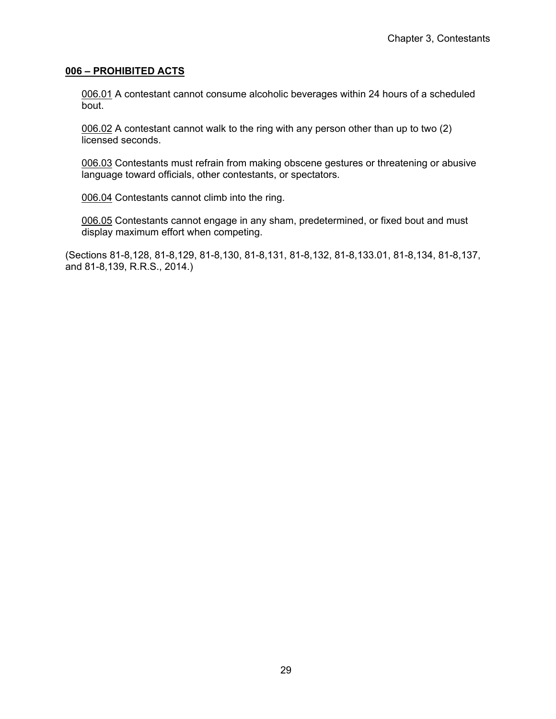#### **006 – PROHIBITED ACTS**

006.01 A contestant cannot consume alcoholic beverages within 24 hours of a scheduled bout.

006.02 A contestant cannot walk to the ring with any person other than up to two (2) licensed seconds.

006.03 Contestants must refrain from making obscene gestures or threatening or abusive language toward officials, other contestants, or spectators.

006.04 Contestants cannot climb into the ring.

006.05 Contestants cannot engage in any sham, predetermined, or fixed bout and must display maximum effort when competing.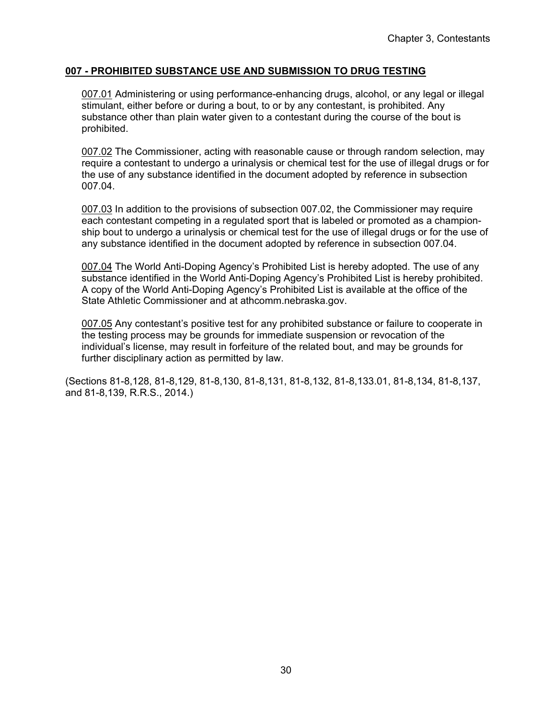## **007 - PROHIBITED SUBSTANCE USE AND SUBMISSION TO DRUG TESTING**

007.01 Administering or using performance-enhancing drugs, alcohol, or any legal or illegal stimulant, either before or during a bout, to or by any contestant, is prohibited. Any substance other than plain water given to a contestant during the course of the bout is prohibited.

007.02 The Commissioner, acting with reasonable cause or through random selection, may require a contestant to undergo a urinalysis or chemical test for the use of illegal drugs or for the use of any substance identified in the document adopted by reference in subsection 007.04.

007.03 In addition to the provisions of subsection 007.02, the Commissioner may require each contestant competing in a regulated sport that is labeled or promoted as a championship bout to undergo a urinalysis or chemical test for the use of illegal drugs or for the use of any substance identified in the document adopted by reference in subsection 007.04.

007.04 The World Anti-Doping Agency's Prohibited List is hereby adopted. The use of any substance identified in the World Anti-Doping Agency's Prohibited List is hereby prohibited. A copy of the World Anti-Doping Agency's Prohibited List is available at the office of the State Athletic Commissioner and at athcomm.nebraska.gov.

007.05 Any contestant's positive test for any prohibited substance or failure to cooperate in the testing process may be grounds for immediate suspension or revocation of the individual's license, may result in forfeiture of the related bout, and may be grounds for further disciplinary action as permitted by law.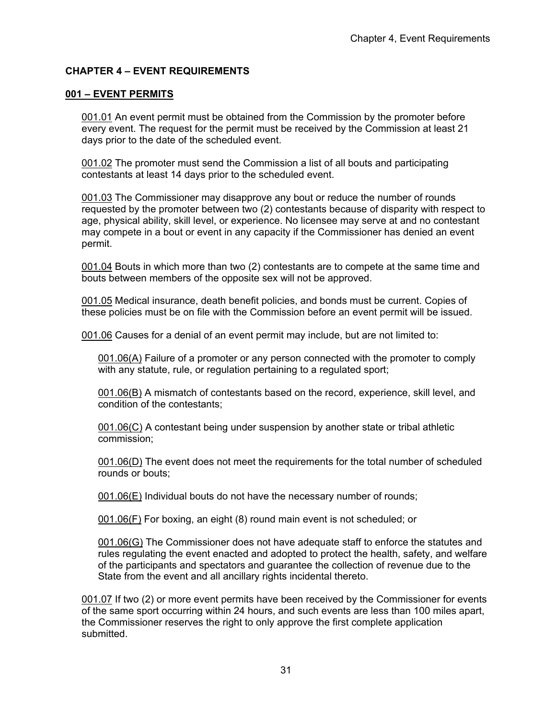## **CHAPTER 4 – EVENT REQUIREMENTS**

### **001 – EVENT PERMITS**

001.01 An event permit must be obtained from the Commission by the promoter before every event. The request for the permit must be received by the Commission at least 21 days prior to the date of the scheduled event.

001.02 The promoter must send the Commission a list of all bouts and participating contestants at least 14 days prior to the scheduled event.

001.03 The Commissioner may disapprove any bout or reduce the number of rounds requested by the promoter between two (2) contestants because of disparity with respect to age, physical ability, skill level, or experience. No licensee may serve at and no contestant may compete in a bout or event in any capacity if the Commissioner has denied an event permit.

001.04 Bouts in which more than two (2) contestants are to compete at the same time and bouts between members of the opposite sex will not be approved.

001.05 Medical insurance, death benefit policies, and bonds must be current. Copies of these policies must be on file with the Commission before an event permit will be issued.

001.06 Causes for a denial of an event permit may include, but are not limited to:

001.06(A) Failure of a promoter or any person connected with the promoter to comply with any statute, rule, or regulation pertaining to a regulated sport;

001.06(B) A mismatch of contestants based on the record, experience, skill level, and condition of the contestants;

001.06(C) A contestant being under suspension by another state or tribal athletic commission;

001.06(D) The event does not meet the requirements for the total number of scheduled rounds or bouts;

001.06(E) Individual bouts do not have the necessary number of rounds;

001.06(F) For boxing, an eight (8) round main event is not scheduled; or

001.06(G) The Commissioner does not have adequate staff to enforce the statutes and rules regulating the event enacted and adopted to protect the health, safety, and welfare of the participants and spectators and guarantee the collection of revenue due to the State from the event and all ancillary rights incidental thereto.

001.07 If two (2) or more event permits have been received by the Commissioner for events of the same sport occurring within 24 hours, and such events are less than 100 miles apart, the Commissioner reserves the right to only approve the first complete application submitted.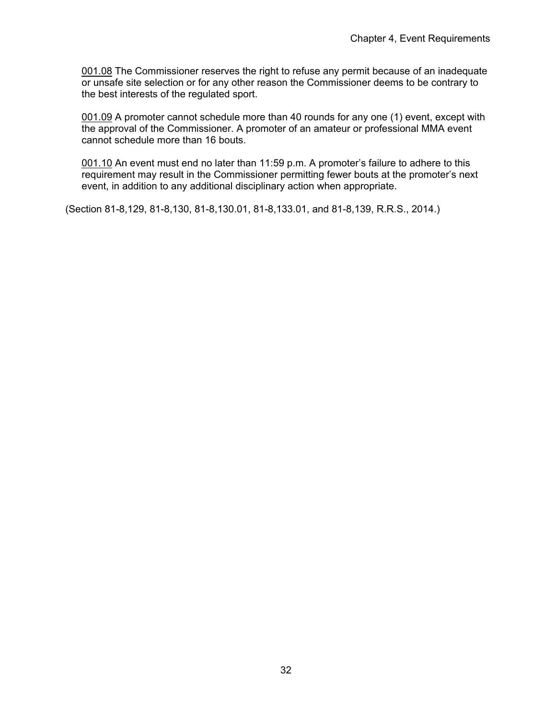001.08 The Commissioner reserves the right to refuse any permit because of an inadequate or unsafe site selection or for any other reason the Commissioner deems to be contrary to the best interests of the regulated sport.

001.09 A promoter cannot schedule more than 40 rounds for any one (1) event, except with the approval of the Commissioner. A promoter of an amateur or professional MMA event cannot schedule more than 16 bouts.

001.10 An event must end no later than 11:59 p.m. A promoter's failure to adhere to this requirement may result in the Commissioner permitting fewer bouts at the promoter's next event, in addition to any additional disciplinary action when appropriate.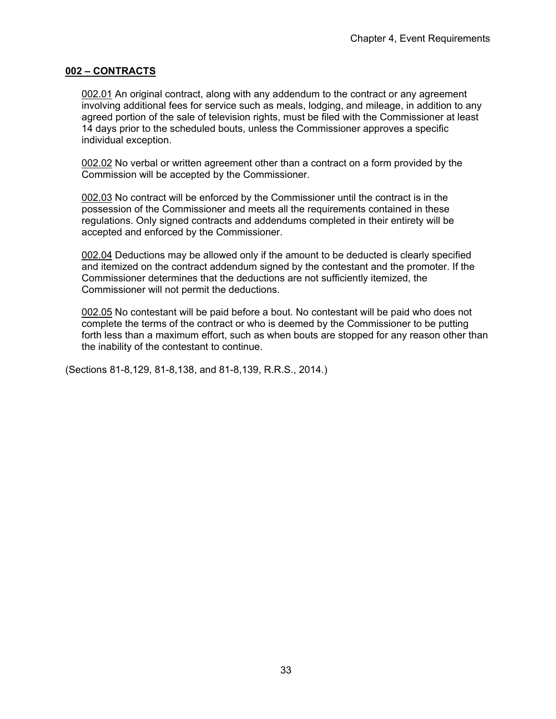#### **002 – CONTRACTS**

002.01 An original contract, along with any addendum to the contract or any agreement involving additional fees for service such as meals, lodging, and mileage, in addition to any agreed portion of the sale of television rights, must be filed with the Commissioner at least 14 days prior to the scheduled bouts, unless the Commissioner approves a specific individual exception.

002.02 No verbal or written agreement other than a contract on a form provided by the Commission will be accepted by the Commissioner.

002.03 No contract will be enforced by the Commissioner until the contract is in the possession of the Commissioner and meets all the requirements contained in these regulations. Only signed contracts and addendums completed in their entirety will be accepted and enforced by the Commissioner.

002.04 Deductions may be allowed only if the amount to be deducted is clearly specified and itemized on the contract addendum signed by the contestant and the promoter. If the Commissioner determines that the deductions are not sufficiently itemized, the Commissioner will not permit the deductions.

002.05 No contestant will be paid before a bout. No contestant will be paid who does not complete the terms of the contract or who is deemed by the Commissioner to be putting forth less than a maximum effort, such as when bouts are stopped for any reason other than the inability of the contestant to continue.

(Sections 81-8,129, 81-8,138, and 81-8,139, R.R.S., 2014.)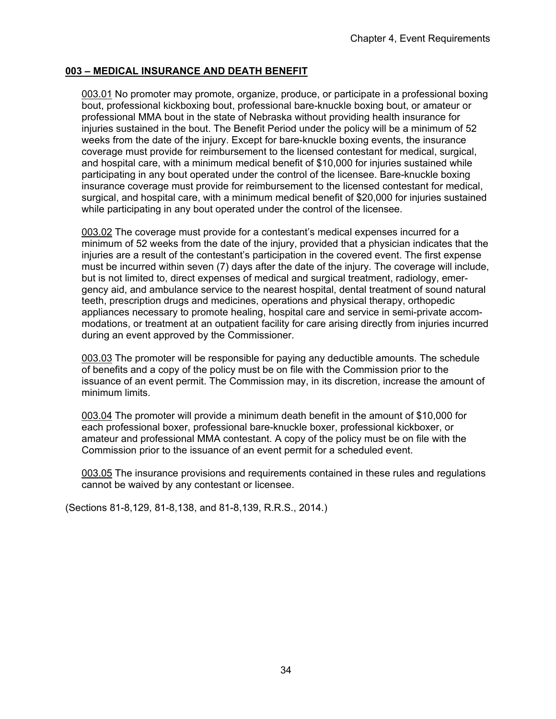### **003 – MEDICAL INSURANCE AND DEATH BENEFIT**

003.01 No promoter may promote, organize, produce, or participate in a professional boxing bout, professional kickboxing bout, professional bare-knuckle boxing bout, or amateur or professional MMA bout in the state of Nebraska without providing health insurance for injuries sustained in the bout. The Benefit Period under the policy will be a minimum of 52 weeks from the date of the injury. Except for bare-knuckle boxing events, the insurance coverage must provide for reimbursement to the licensed contestant for medical, surgical, and hospital care, with a minimum medical benefit of \$10,000 for injuries sustained while participating in any bout operated under the control of the licensee. Bare-knuckle boxing insurance coverage must provide for reimbursement to the licensed contestant for medical, surgical, and hospital care, with a minimum medical benefit of \$20,000 for injuries sustained while participating in any bout operated under the control of the licensee.

003.02 The coverage must provide for a contestant's medical expenses incurred for a minimum of 52 weeks from the date of the injury, provided that a physician indicates that the injuries are a result of the contestant's participation in the covered event. The first expense must be incurred within seven (7) days after the date of the injury. The coverage will include, but is not limited to, direct expenses of medical and surgical treatment, radiology, emergency aid, and ambulance service to the nearest hospital, dental treatment of sound natural teeth, prescription drugs and medicines, operations and physical therapy, orthopedic appliances necessary to promote healing, hospital care and service in semi-private accommodations, or treatment at an outpatient facility for care arising directly from injuries incurred during an event approved by the Commissioner.

003.03 The promoter will be responsible for paying any deductible amounts. The schedule of benefits and a copy of the policy must be on file with the Commission prior to the issuance of an event permit. The Commission may, in its discretion, increase the amount of minimum limits.

003.04 The promoter will provide a minimum death benefit in the amount of \$10,000 for each professional boxer, professional bare-knuckle boxer, professional kickboxer, or amateur and professional MMA contestant. A copy of the policy must be on file with the Commission prior to the issuance of an event permit for a scheduled event.

003.05 The insurance provisions and requirements contained in these rules and regulations cannot be waived by any contestant or licensee.

(Sections 81-8,129, 81-8,138, and 81-8,139, R.R.S., 2014.)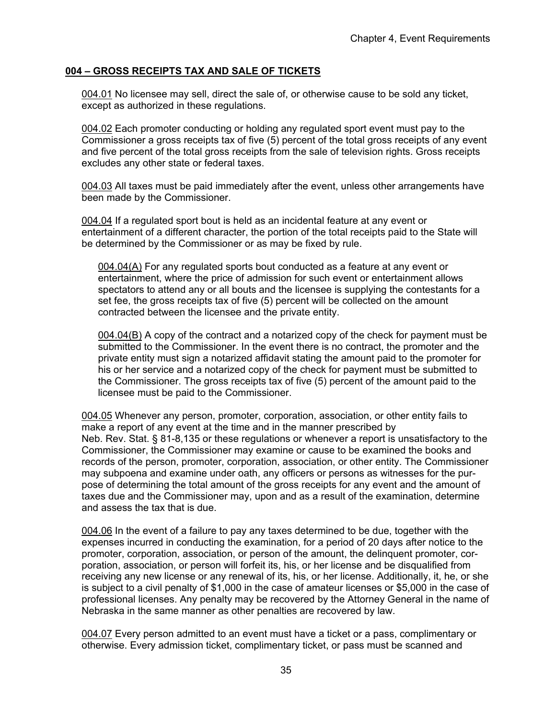### **004 – GROSS RECEIPTS TAX AND SALE OF TICKETS**

004.01 No licensee may sell, direct the sale of, or otherwise cause to be sold any ticket, except as authorized in these regulations.

004.02 Each promoter conducting or holding any regulated sport event must pay to the Commissioner a gross receipts tax of five (5) percent of the total gross receipts of any event and five percent of the total gross receipts from the sale of television rights. Gross receipts excludes any other state or federal taxes.

004.03 All taxes must be paid immediately after the event, unless other arrangements have been made by the Commissioner.

004.04 If a regulated sport bout is held as an incidental feature at any event or entertainment of a different character, the portion of the total receipts paid to the State will be determined by the Commissioner or as may be fixed by rule.

004.04(A) For any regulated sports bout conducted as a feature at any event or entertainment, where the price of admission for such event or entertainment allows spectators to attend any or all bouts and the licensee is supplying the contestants for a set fee, the gross receipts tax of five (5) percent will be collected on the amount contracted between the licensee and the private entity.

004.04(B) A copy of the contract and a notarized copy of the check for payment must be submitted to the Commissioner. In the event there is no contract, the promoter and the private entity must sign a notarized affidavit stating the amount paid to the promoter for his or her service and a notarized copy of the check for payment must be submitted to the Commissioner. The gross receipts tax of five (5) percent of the amount paid to the licensee must be paid to the Commissioner.

004.05 Whenever any person, promoter, corporation, association, or other entity fails to make a report of any event at the time and in the manner prescribed by Neb. Rev. Stat. § 81-8,135 or these regulations or whenever a report is unsatisfactory to the Commissioner, the Commissioner may examine or cause to be examined the books and records of the person, promoter, corporation, association, or other entity. The Commissioner may subpoena and examine under oath, any officers or persons as witnesses for the purpose of determining the total amount of the gross receipts for any event and the amount of taxes due and the Commissioner may, upon and as a result of the examination, determine and assess the tax that is due.

004.06 In the event of a failure to pay any taxes determined to be due, together with the expenses incurred in conducting the examination, for a period of 20 days after notice to the promoter, corporation, association, or person of the amount, the delinquent promoter, corporation, association, or person will forfeit its, his, or her license and be disqualified from receiving any new license or any renewal of its, his, or her license. Additionally, it, he, or she is subject to a civil penalty of \$1,000 in the case of amateur licenses or \$5,000 in the case of professional licenses. Any penalty may be recovered by the Attorney General in the name of Nebraska in the same manner as other penalties are recovered by law.

004.07 Every person admitted to an event must have a ticket or a pass, complimentary or otherwise. Every admission ticket, complimentary ticket, or pass must be scanned and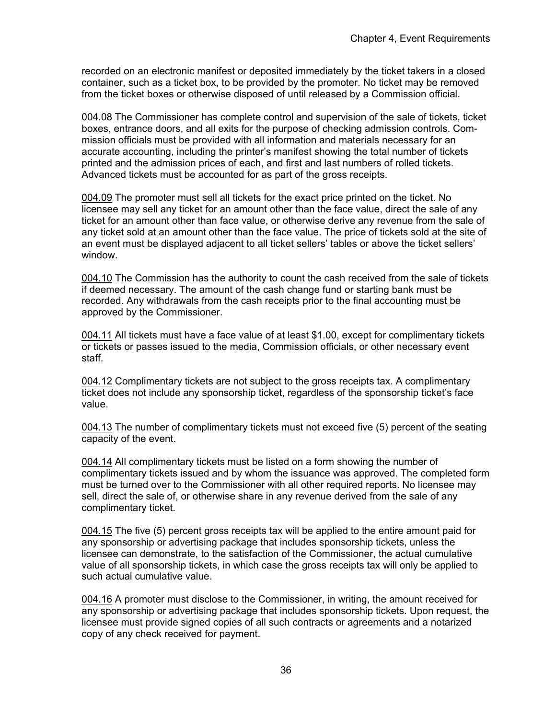recorded on an electronic manifest or deposited immediately by the ticket takers in a closed container, such as a ticket box, to be provided by the promoter. No ticket may be removed from the ticket boxes or otherwise disposed of until released by a Commission official.

004.08 The Commissioner has complete control and supervision of the sale of tickets, ticket boxes, entrance doors, and all exits for the purpose of checking admission controls. Commission officials must be provided with all information and materials necessary for an accurate accounting, including the printer's manifest showing the total number of tickets printed and the admission prices of each, and first and last numbers of rolled tickets. Advanced tickets must be accounted for as part of the gross receipts.

004.09 The promoter must sell all tickets for the exact price printed on the ticket. No licensee may sell any ticket for an amount other than the face value, direct the sale of any ticket for an amount other than face value, or otherwise derive any revenue from the sale of any ticket sold at an amount other than the face value. The price of tickets sold at the site of an event must be displayed adjacent to all ticket sellers' tables or above the ticket sellers' window.

004.10 The Commission has the authority to count the cash received from the sale of tickets if deemed necessary. The amount of the cash change fund or starting bank must be recorded. Any withdrawals from the cash receipts prior to the final accounting must be approved by the Commissioner.

004.11 All tickets must have a face value of at least \$1.00, except for complimentary tickets or tickets or passes issued to the media, Commission officials, or other necessary event staff.

004.12 Complimentary tickets are not subject to the gross receipts tax. A complimentary ticket does not include any sponsorship ticket, regardless of the sponsorship ticket's face value.

004.13 The number of complimentary tickets must not exceed five (5) percent of the seating capacity of the event.

004.14 All complimentary tickets must be listed on a form showing the number of complimentary tickets issued and by whom the issuance was approved. The completed form must be turned over to the Commissioner with all other required reports. No licensee may sell, direct the sale of, or otherwise share in any revenue derived from the sale of any complimentary ticket.

004.15 The five (5) percent gross receipts tax will be applied to the entire amount paid for any sponsorship or advertising package that includes sponsorship tickets, unless the licensee can demonstrate, to the satisfaction of the Commissioner, the actual cumulative value of all sponsorship tickets, in which case the gross receipts tax will only be applied to such actual cumulative value.

004.16 A promoter must disclose to the Commissioner, in writing, the amount received for any sponsorship or advertising package that includes sponsorship tickets. Upon request, the licensee must provide signed copies of all such contracts or agreements and a notarized copy of any check received for payment.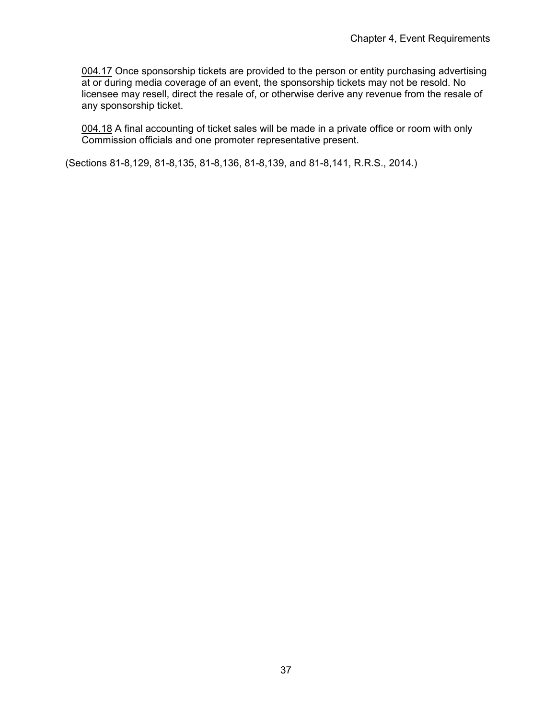004.17 Once sponsorship tickets are provided to the person or entity purchasing advertising at or during media coverage of an event, the sponsorship tickets may not be resold. No licensee may resell, direct the resale of, or otherwise derive any revenue from the resale of any sponsorship ticket.

004.18 A final accounting of ticket sales will be made in a private office or room with only Commission officials and one promoter representative present.

(Sections 81-8,129, 81-8,135, 81-8,136, 81-8,139, and 81-8,141, R.R.S., 2014.)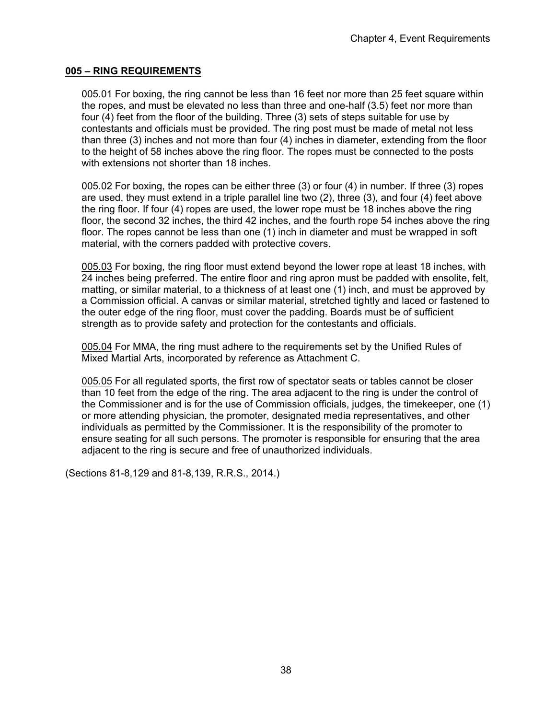### **005 – RING REQUIREMENTS**

005.01 For boxing, the ring cannot be less than 16 feet nor more than 25 feet square within the ropes, and must be elevated no less than three and one-half (3.5) feet nor more than four (4) feet from the floor of the building. Three (3) sets of steps suitable for use by contestants and officials must be provided. The ring post must be made of metal not less than three (3) inches and not more than four (4) inches in diameter, extending from the floor to the height of 58 inches above the ring floor. The ropes must be connected to the posts with extensions not shorter than 18 inches.

005.02 For boxing, the ropes can be either three (3) or four (4) in number. If three (3) ropes are used, they must extend in a triple parallel line two (2), three (3), and four (4) feet above the ring floor. If four (4) ropes are used, the lower rope must be 18 inches above the ring floor, the second 32 inches, the third 42 inches, and the fourth rope 54 inches above the ring floor. The ropes cannot be less than one (1) inch in diameter and must be wrapped in soft material, with the corners padded with protective covers.

005.03 For boxing, the ring floor must extend beyond the lower rope at least 18 inches, with 24 inches being preferred. The entire floor and ring apron must be padded with ensolite, felt, matting, or similar material, to a thickness of at least one (1) inch, and must be approved by a Commission official. A canvas or similar material, stretched tightly and laced or fastened to the outer edge of the ring floor, must cover the padding. Boards must be of sufficient strength as to provide safety and protection for the contestants and officials.

005.04 For MMA, the ring must adhere to the requirements set by the Unified Rules of Mixed Martial Arts, incorporated by reference as Attachment C.

005.05 For all regulated sports, the first row of spectator seats or tables cannot be closer than 10 feet from the edge of the ring. The area adjacent to the ring is under the control of the Commissioner and is for the use of Commission officials, judges, the timekeeper, one (1) or more attending physician, the promoter, designated media representatives, and other individuals as permitted by the Commissioner. It is the responsibility of the promoter to ensure seating for all such persons. The promoter is responsible for ensuring that the area adjacent to the ring is secure and free of unauthorized individuals.

(Sections 81-8,129 and 81-8,139, R.R.S., 2014.)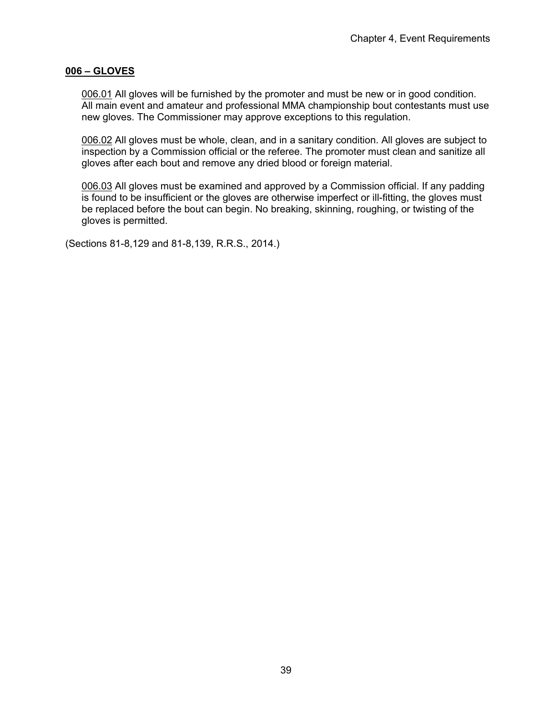### **006 – GLOVES**

006.01 All gloves will be furnished by the promoter and must be new or in good condition. All main event and amateur and professional MMA championship bout contestants must use new gloves. The Commissioner may approve exceptions to this regulation.

006.02 All gloves must be whole, clean, and in a sanitary condition. All gloves are subject to inspection by a Commission official or the referee. The promoter must clean and sanitize all gloves after each bout and remove any dried blood or foreign material.

006.03 All gloves must be examined and approved by a Commission official. If any padding is found to be insufficient or the gloves are otherwise imperfect or ill-fitting, the gloves must be replaced before the bout can begin. No breaking, skinning, roughing, or twisting of the gloves is permitted.

(Sections 81-8,129 and 81-8,139, R.R.S., 2014.)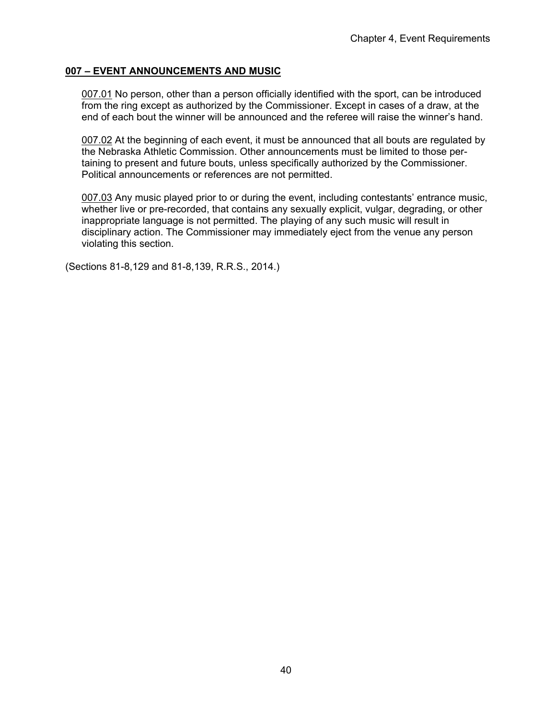# **007 – EVENT ANNOUNCEMENTS AND MUSIC**

007.01 No person, other than a person officially identified with the sport, can be introduced from the ring except as authorized by the Commissioner. Except in cases of a draw, at the end of each bout the winner will be announced and the referee will raise the winner's hand.

007.02 At the beginning of each event, it must be announced that all bouts are regulated by the Nebraska Athletic Commission. Other announcements must be limited to those pertaining to present and future bouts, unless specifically authorized by the Commissioner. Political announcements or references are not permitted.

007.03 Any music played prior to or during the event, including contestants' entrance music, whether live or pre-recorded, that contains any sexually explicit, vulgar, degrading, or other inappropriate language is not permitted. The playing of any such music will result in disciplinary action. The Commissioner may immediately eject from the venue any person violating this section.

(Sections 81-8,129 and 81-8,139, R.R.S., 2014.)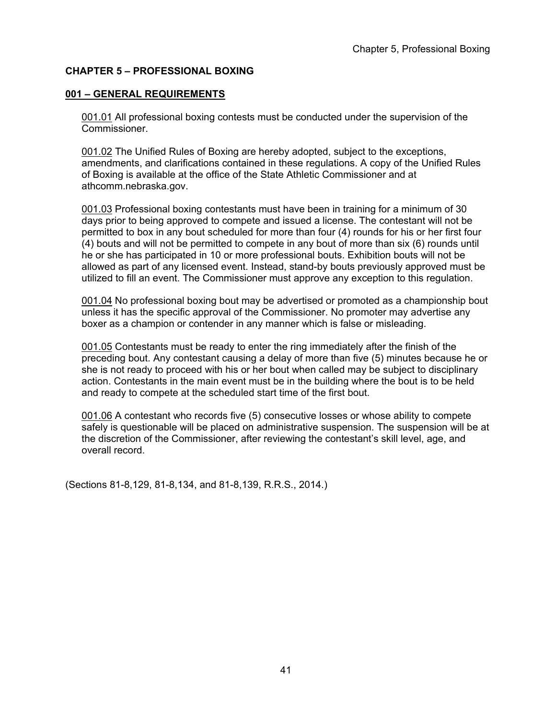# **CHAPTER 5 – PROFESSIONAL BOXING**

### **001 – GENERAL REQUIREMENTS**

001.01 All professional boxing contests must be conducted under the supervision of the Commissioner.

001.02 The Unified Rules of Boxing are hereby adopted, subject to the exceptions, amendments, and clarifications contained in these regulations. A copy of the Unified Rules of Boxing is available at the office of the State Athletic Commissioner and at athcomm.nebraska.gov.

001.03 Professional boxing contestants must have been in training for a minimum of 30 days prior to being approved to compete and issued a license. The contestant will not be permitted to box in any bout scheduled for more than four (4) rounds for his or her first four (4) bouts and will not be permitted to compete in any bout of more than six (6) rounds until he or she has participated in 10 or more professional bouts. Exhibition bouts will not be allowed as part of any licensed event. Instead, stand-by bouts previously approved must be utilized to fill an event. The Commissioner must approve any exception to this regulation.

001.04 No professional boxing bout may be advertised or promoted as a championship bout unless it has the specific approval of the Commissioner. No promoter may advertise any boxer as a champion or contender in any manner which is false or misleading.

001.05 Contestants must be ready to enter the ring immediately after the finish of the preceding bout. Any contestant causing a delay of more than five (5) minutes because he or she is not ready to proceed with his or her bout when called may be subject to disciplinary action. Contestants in the main event must be in the building where the bout is to be held and ready to compete at the scheduled start time of the first bout.

001.06 A contestant who records five (5) consecutive losses or whose ability to compete safely is questionable will be placed on administrative suspension. The suspension will be at the discretion of the Commissioner, after reviewing the contestant's skill level, age, and overall record.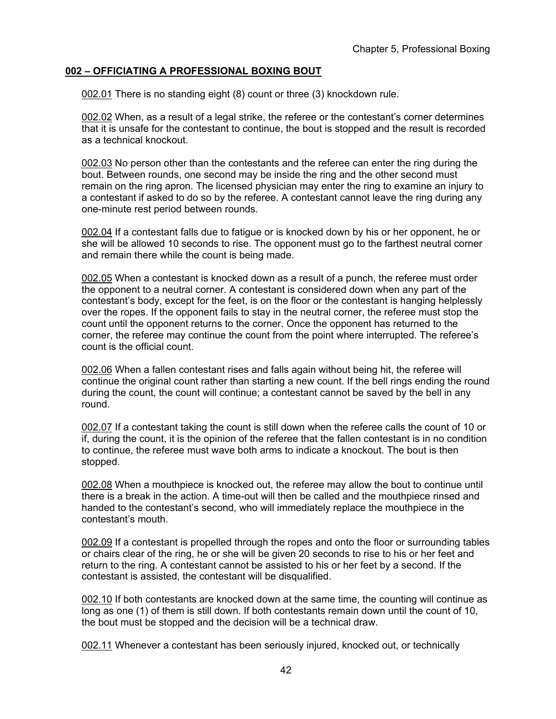# **002 – OFFICIATING A PROFESSIONAL BOXING BOUT**

002.01 There is no standing eight (8) count or three (3) knockdown rule.

002.02 When, as a result of a legal strike, the referee or the contestant's corner determines that it is unsafe for the contestant to continue, the bout is stopped and the result is recorded as a technical knockout.

002.03 No person other than the contestants and the referee can enter the ring during the bout. Between rounds, one second may be inside the ring and the other second must remain on the ring apron. The licensed physician may enter the ring to examine an injury to a contestant if asked to do so by the referee. A contestant cannot leave the ring during any one-minute rest period between rounds.

002.04 If a contestant falls due to fatigue or is knocked down by his or her opponent, he or she will be allowed 10 seconds to rise. The opponent must go to the farthest neutral corner and remain there while the count is being made.

002.05 When a contestant is knocked down as a result of a punch, the referee must order the opponent to a neutral corner. A contestant is considered down when any part of the contestant's body, except for the feet, is on the floor or the contestant is hanging helplessly over the ropes. If the opponent fails to stay in the neutral corner, the referee must stop the count until the opponent returns to the corner. Once the opponent has returned to the corner, the referee may continue the count from the point where interrupted. The referee's count is the official count.

002.06 When a fallen contestant rises and falls again without being hit, the referee will continue the original count rather than starting a new count. If the bell rings ending the round during the count, the count will continue; a contestant cannot be saved by the bell in any round.

002.07 If a contestant taking the count is still down when the referee calls the count of 10 or if, during the count, it is the opinion of the referee that the fallen contestant is in no condition to continue, the referee must wave both arms to indicate a knockout. The bout is then stopped.

002.08 When a mouthpiece is knocked out, the referee may allow the bout to continue until there is a break in the action. A time-out will then be called and the mouthpiece rinsed and handed to the contestant's second, who will immediately replace the mouthpiece in the contestant's mouth.

002.09 If a contestant is propelled through the ropes and onto the floor or surrounding tables or chairs clear of the ring, he or she will be given 20 seconds to rise to his or her feet and return to the ring. A contestant cannot be assisted to his or her feet by a second. If the contestant is assisted, the contestant will be disqualified.

002.10 If both contestants are knocked down at the same time, the counting will continue as long as one (1) of them is still down. If both contestants remain down until the count of 10, the bout must be stopped and the decision will be a technical draw.

002.11 Whenever a contestant has been seriously injured, knocked out, or technically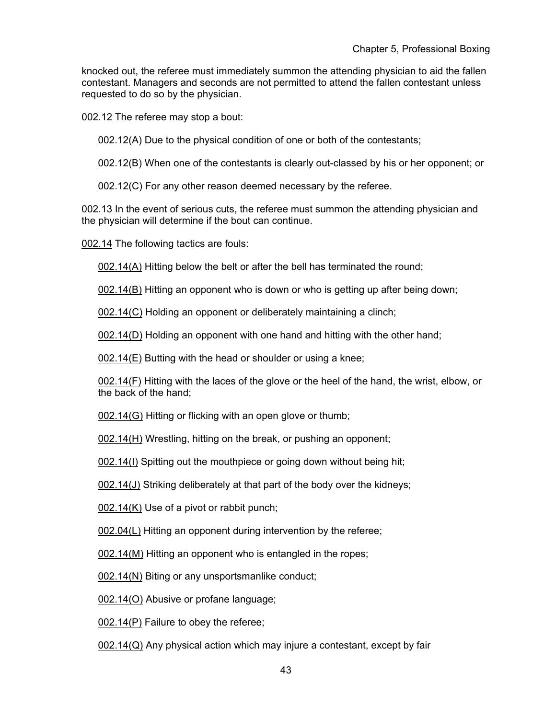knocked out, the referee must immediately summon the attending physician to aid the fallen contestant. Managers and seconds are not permitted to attend the fallen contestant unless requested to do so by the physician.

002.12 The referee may stop a bout:

002.12(A) Due to the physical condition of one or both of the contestants;

002.12(B) When one of the contestants is clearly out-classed by his or her opponent; or

002.12(C) For any other reason deemed necessary by the referee.

002.13 In the event of serious cuts, the referee must summon the attending physician and the physician will determine if the bout can continue.

002.14 The following tactics are fouls:

002.14(A) Hitting below the belt or after the bell has terminated the round;

002.14(B) Hitting an opponent who is down or who is getting up after being down;

002.14(C) Holding an opponent or deliberately maintaining a clinch;

002.14(D) Holding an opponent with one hand and hitting with the other hand;

002.14(E) Butting with the head or shoulder or using a knee;

002.14(F) Hitting with the laces of the glove or the heel of the hand, the wrist, elbow, or the back of the hand;

002.14(G) Hitting or flicking with an open glove or thumb;

002.14(H) Wrestling, hitting on the break, or pushing an opponent;

002.14(I) Spitting out the mouthpiece or going down without being hit;

002.14(J) Striking deliberately at that part of the body over the kidneys;

002.14(K) Use of a pivot or rabbit punch;

002.04(L) Hitting an opponent during intervention by the referee;

002.14(M) Hitting an opponent who is entangled in the ropes;

002.14(N) Biting or any unsportsmanlike conduct;

002.14(O) Abusive or profane language;

002.14(P) Failure to obey the referee;

002.14(Q) Any physical action which may injure a contestant, except by fair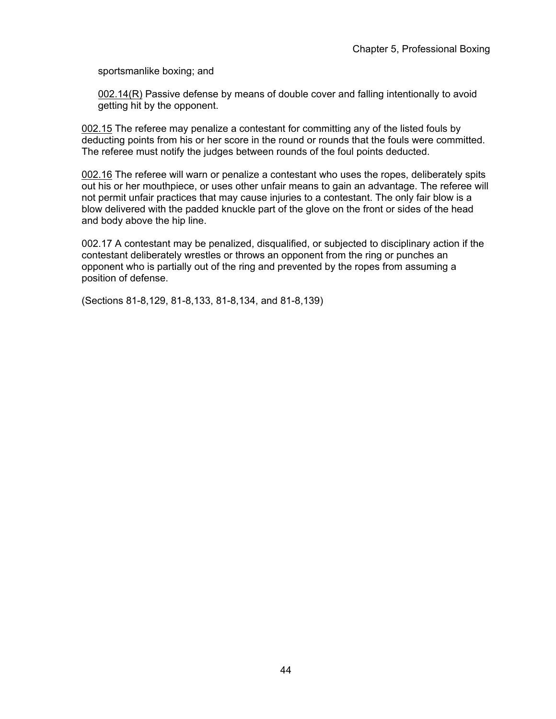sportsmanlike boxing; and

002.14(R) Passive defense by means of double cover and falling intentionally to avoid getting hit by the opponent.

002.15 The referee may penalize a contestant for committing any of the listed fouls by deducting points from his or her score in the round or rounds that the fouls were committed. The referee must notify the judges between rounds of the foul points deducted.

002.16 The referee will warn or penalize a contestant who uses the ropes, deliberately spits out his or her mouthpiece, or uses other unfair means to gain an advantage. The referee will not permit unfair practices that may cause injuries to a contestant. The only fair blow is a blow delivered with the padded knuckle part of the glove on the front or sides of the head and body above the hip line.

002.17 A contestant may be penalized, disqualified, or subjected to disciplinary action if the contestant deliberately wrestles or throws an opponent from the ring or punches an opponent who is partially out of the ring and prevented by the ropes from assuming a position of defense.

(Sections 81-8,129, 81-8,133, 81-8,134, and 81-8,139)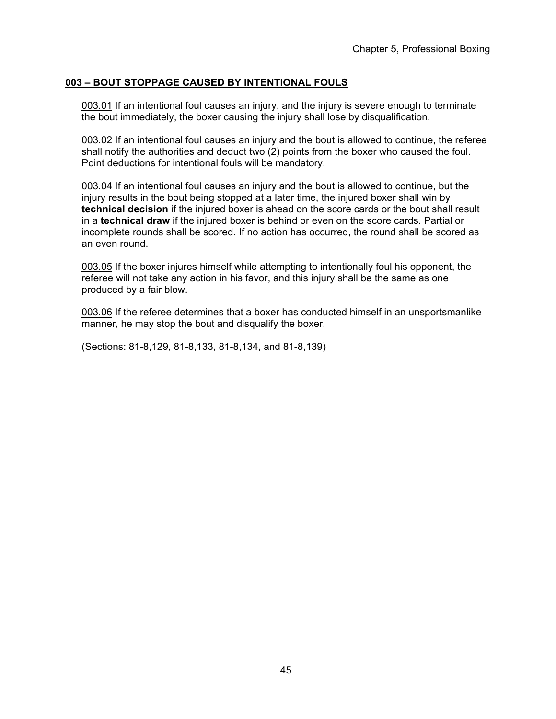# **003 – BOUT STOPPAGE CAUSED BY INTENTIONAL FOULS**

003.01 If an intentional foul causes an injury, and the injury is severe enough to terminate the bout immediately, the boxer causing the injury shall lose by disqualification.

003.02 If an intentional foul causes an injury and the bout is allowed to continue, the referee shall notify the authorities and deduct two (2) points from the boxer who caused the foul. Point deductions for intentional fouls will be mandatory.

003.04 If an intentional foul causes an injury and the bout is allowed to continue, but the injury results in the bout being stopped at a later time, the injured boxer shall win by **technical decision** if the injured boxer is ahead on the score cards or the bout shall result in a **technical draw** if the injured boxer is behind or even on the score cards. Partial or incomplete rounds shall be scored. If no action has occurred, the round shall be scored as an even round.

003.05 If the boxer injures himself while attempting to intentionally foul his opponent, the referee will not take any action in his favor, and this injury shall be the same as one produced by a fair blow.

003.06 If the referee determines that a boxer has conducted himself in an unsportsmanlike manner, he may stop the bout and disqualify the boxer.

(Sections: 81-8,129, 81-8,133, 81-8,134, and 81-8,139)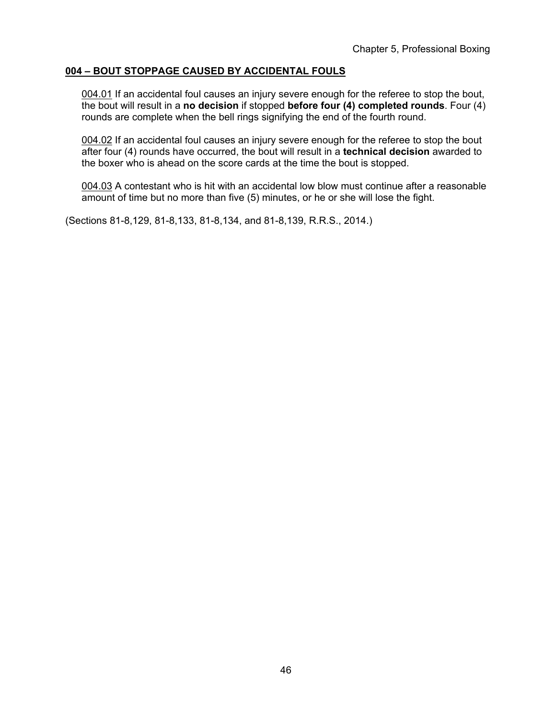# **004 – BOUT STOPPAGE CAUSED BY ACCIDENTAL FOULS**

004.01 If an accidental foul causes an injury severe enough for the referee to stop the bout, the bout will result in a **no decision** if stopped **before four (4) completed rounds**. Four (4) rounds are complete when the bell rings signifying the end of the fourth round.

004.02 If an accidental foul causes an injury severe enough for the referee to stop the bout after four (4) rounds have occurred, the bout will result in a **technical decision** awarded to the boxer who is ahead on the score cards at the time the bout is stopped.

004.03 A contestant who is hit with an accidental low blow must continue after a reasonable amount of time but no more than five (5) minutes, or he or she will lose the fight.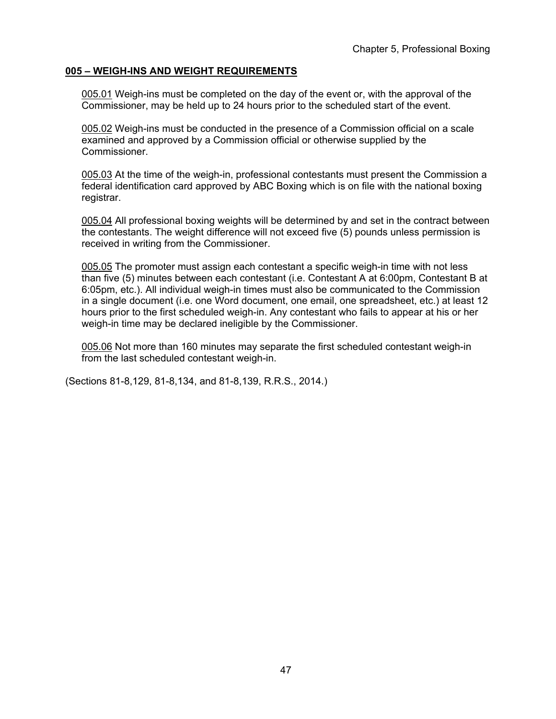### **005 – WEIGH-INS AND WEIGHT REQUIREMENTS**

005.01 Weigh-ins must be completed on the day of the event or, with the approval of the Commissioner, may be held up to 24 hours prior to the scheduled start of the event.

005.02 Weigh-ins must be conducted in the presence of a Commission official on a scale examined and approved by a Commission official or otherwise supplied by the Commissioner.

005.03 At the time of the weigh-in, professional contestants must present the Commission a federal identification card approved by ABC Boxing which is on file with the national boxing registrar.

005.04 All professional boxing weights will be determined by and set in the contract between the contestants. The weight difference will not exceed five (5) pounds unless permission is received in writing from the Commissioner.

005.05 The promoter must assign each contestant a specific weigh-in time with not less than five (5) minutes between each contestant (i.e. Contestant A at 6:00pm, Contestant B at 6:05pm, etc.). All individual weigh-in times must also be communicated to the Commission in a single document (i.e. one Word document, one email, one spreadsheet, etc.) at least 12 hours prior to the first scheduled weigh-in. Any contestant who fails to appear at his or her weigh-in time may be declared ineligible by the Commissioner.

005.06 Not more than 160 minutes may separate the first scheduled contestant weigh-in from the last scheduled contestant weigh-in.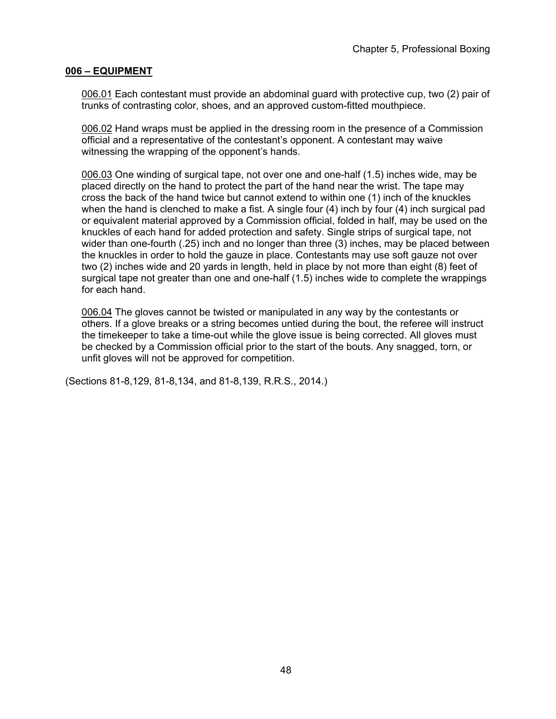### **006 – EQUIPMENT**

006.01 Each contestant must provide an abdominal guard with protective cup, two (2) pair of trunks of contrasting color, shoes, and an approved custom-fitted mouthpiece.

006.02 Hand wraps must be applied in the dressing room in the presence of a Commission official and a representative of the contestant's opponent. A contestant may waive witnessing the wrapping of the opponent's hands.

006.03 One winding of surgical tape, not over one and one-half (1.5) inches wide, may be placed directly on the hand to protect the part of the hand near the wrist. The tape may cross the back of the hand twice but cannot extend to within one (1) inch of the knuckles when the hand is clenched to make a fist. A single four (4) inch by four (4) inch surgical pad or equivalent material approved by a Commission official, folded in half, may be used on the knuckles of each hand for added protection and safety. Single strips of surgical tape, not wider than one-fourth (.25) inch and no longer than three (3) inches, may be placed between the knuckles in order to hold the gauze in place. Contestants may use soft gauze not over two (2) inches wide and 20 yards in length, held in place by not more than eight (8) feet of surgical tape not greater than one and one-half (1.5) inches wide to complete the wrappings for each hand.

006.04 The gloves cannot be twisted or manipulated in any way by the contestants or others. If a glove breaks or a string becomes untied during the bout, the referee will instruct the timekeeper to take a time-out while the glove issue is being corrected. All gloves must be checked by a Commission official prior to the start of the bouts. Any snagged, torn, or unfit gloves will not be approved for competition.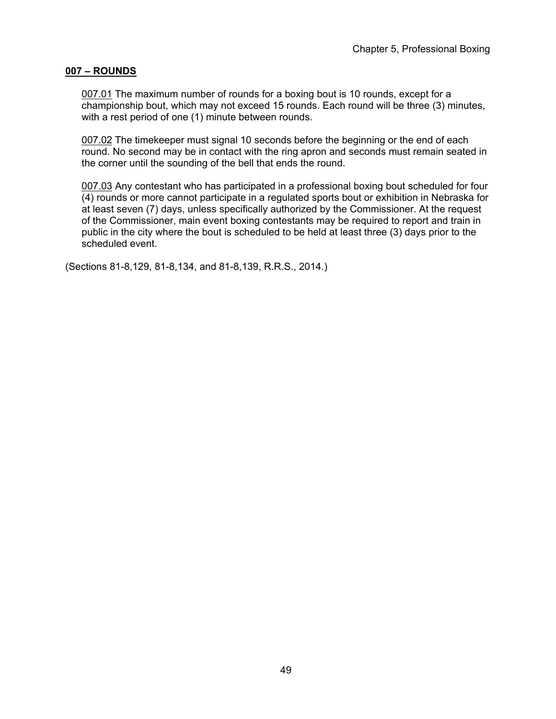### **007 – ROUNDS**

007.01 The maximum number of rounds for a boxing bout is 10 rounds, except for a championship bout, which may not exceed 15 rounds. Each round will be three (3) minutes, with a rest period of one (1) minute between rounds.

007.02 The timekeeper must signal 10 seconds before the beginning or the end of each round. No second may be in contact with the ring apron and seconds must remain seated in the corner until the sounding of the bell that ends the round.

007.03 Any contestant who has participated in a professional boxing bout scheduled for four (4) rounds or more cannot participate in a regulated sports bout or exhibition in Nebraska for at least seven (7) days, unless specifically authorized by the Commissioner. At the request of the Commissioner, main event boxing contestants may be required to report and train in public in the city where the bout is scheduled to be held at least three (3) days prior to the scheduled event.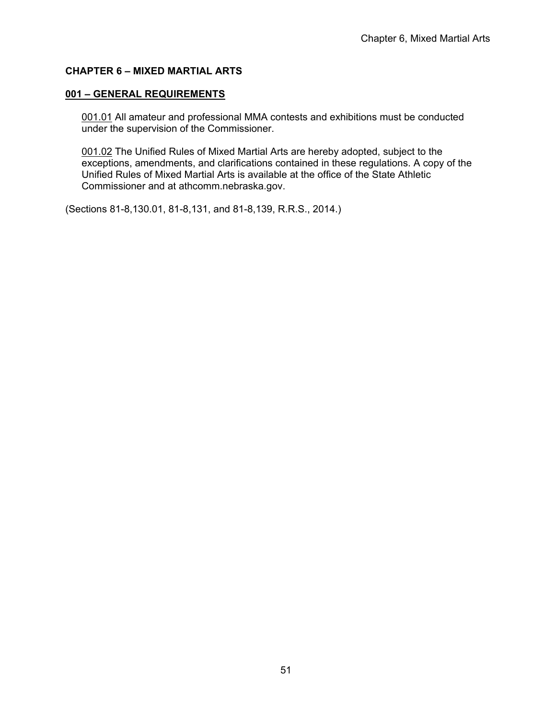# **CHAPTER 6 – MIXED MARTIAL ARTS**

## **001 – GENERAL REQUIREMENTS**

001.01 All amateur and professional MMA contests and exhibitions must be conducted under the supervision of the Commissioner.

001.02 The Unified Rules of Mixed Martial Arts are hereby adopted, subject to the exceptions, amendments, and clarifications contained in these regulations. A copy of the Unified Rules of Mixed Martial Arts is available at the office of the State Athletic Commissioner and at athcomm.nebraska.gov.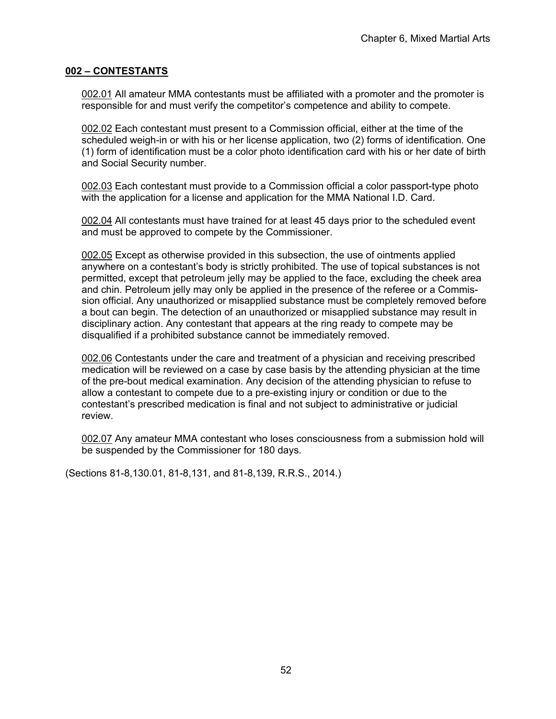### **002 – CONTESTANTS**

002.01 All amateur MMA contestants must be affiliated with a promoter and the promoter is responsible for and must verify the competitor's competence and ability to compete.

002.02 Each contestant must present to a Commission official, either at the time of the scheduled weigh-in or with his or her license application, two (2) forms of identification. One (1) form of identification must be a color photo identification card with his or her date of birth and Social Security number.

002.03 Each contestant must provide to a Commission official a color passport-type photo with the application for a license and application for the MMA National I.D. Card.

002.04 All contestants must have trained for at least 45 days prior to the scheduled event and must be approved to compete by the Commissioner.

002.05 Except as otherwise provided in this subsection, the use of ointments applied anywhere on a contestant's body is strictly prohibited. The use of topical substances is not permitted, except that petroleum jelly may be applied to the face, excluding the cheek area and chin. Petroleum jelly may only be applied in the presence of the referee or a Commission official. Any unauthorized or misapplied substance must be completely removed before a bout can begin. The detection of an unauthorized or misapplied substance may result in disciplinary action. Any contestant that appears at the ring ready to compete may be disqualified if a prohibited substance cannot be immediately removed.

002.06 Contestants under the care and treatment of a physician and receiving prescribed medication will be reviewed on a case by case basis by the attending physician at the time of the pre-bout medical examination. Any decision of the attending physician to refuse to allow a contestant to compete due to a pre-existing injury or condition or due to the contestant's prescribed medication is final and not subject to administrative or judicial review.

002.07 Any amateur MMA contestant who loses consciousness from a submission hold will be suspended by the Commissioner for 180 days.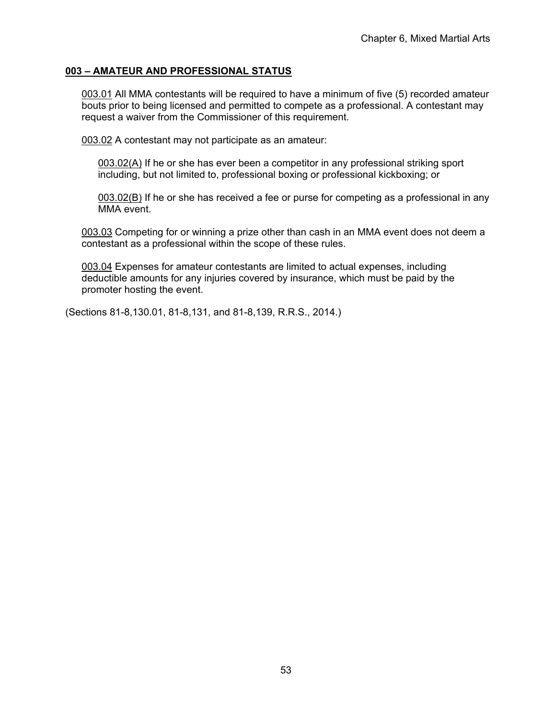# **003 – AMATEUR AND PROFESSIONAL STATUS**

003.01 All MMA contestants will be required to have a minimum of five (5) recorded amateur bouts prior to being licensed and permitted to compete as a professional. A contestant may request a waiver from the Commissioner of this requirement.

003.02 A contestant may not participate as an amateur:

 $0.03.02(A)$  If he or she has ever been a competitor in any professional striking sport including, but not limited to, professional boxing or professional kickboxing; or

003.02(B) If he or she has received a fee or purse for competing as a professional in any MMA event.

003.03 Competing for or winning a prize other than cash in an MMA event does not deem a contestant as a professional within the scope of these rules.

003.04 Expenses for amateur contestants are limited to actual expenses, including deductible amounts for any injuries covered by insurance, which must be paid by the promoter hosting the event.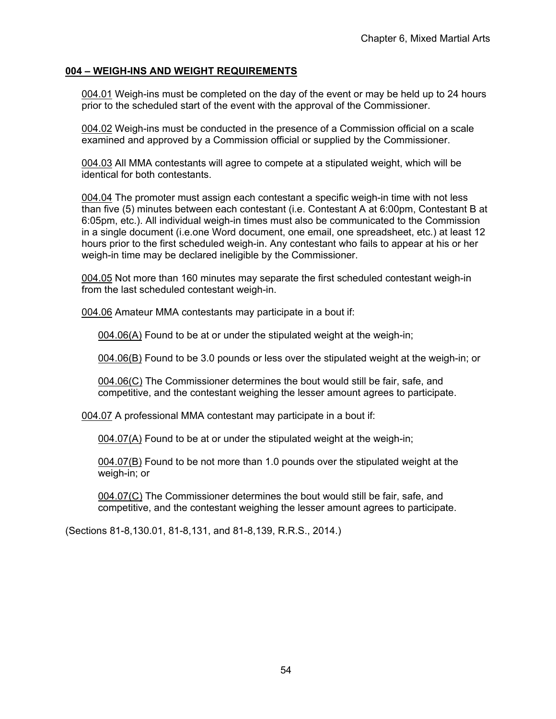# **004 – WEIGH-INS AND WEIGHT REQUIREMENTS**

004.01 Weigh-ins must be completed on the day of the event or may be held up to 24 hours prior to the scheduled start of the event with the approval of the Commissioner.

004.02 Weigh-ins must be conducted in the presence of a Commission official on a scale examined and approved by a Commission official or supplied by the Commissioner.

004.03 All MMA contestants will agree to compete at a stipulated weight, which will be identical for both contestants.

004.04 The promoter must assign each contestant a specific weigh-in time with not less than five (5) minutes between each contestant (i.e. Contestant A at 6:00pm, Contestant B at 6:05pm, etc.). All individual weigh-in times must also be communicated to the Commission in a single document (i.e.one Word document, one email, one spreadsheet, etc.) at least 12 hours prior to the first scheduled weigh-in. Any contestant who fails to appear at his or her weigh-in time may be declared ineligible by the Commissioner.

004.05 Not more than 160 minutes may separate the first scheduled contestant weigh-in from the last scheduled contestant weigh-in.

004.06 Amateur MMA contestants may participate in a bout if:

004.06(A) Found to be at or under the stipulated weight at the weigh-in;

004.06(B) Found to be 3.0 pounds or less over the stipulated weight at the weigh-in; or

004.06(C) The Commissioner determines the bout would still be fair, safe, and competitive, and the contestant weighing the lesser amount agrees to participate.

004.07 A professional MMA contestant may participate in a bout if:

004.07(A) Found to be at or under the stipulated weight at the weigh-in;

004.07(B) Found to be not more than 1.0 pounds over the stipulated weight at the weigh-in; or

004.07(C) The Commissioner determines the bout would still be fair, safe, and competitive, and the contestant weighing the lesser amount agrees to participate.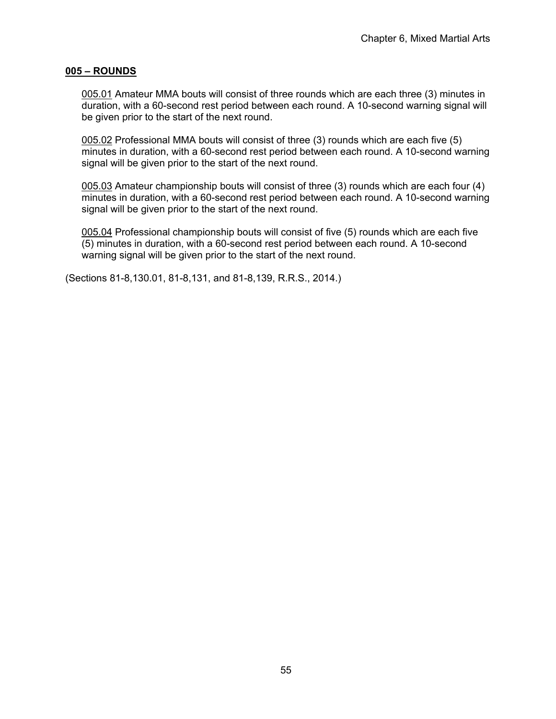### **005 – ROUNDS**

005.01 Amateur MMA bouts will consist of three rounds which are each three (3) minutes in duration, with a 60-second rest period between each round. A 10-second warning signal will be given prior to the start of the next round.

005.02 Professional MMA bouts will consist of three (3) rounds which are each five (5) minutes in duration, with a 60-second rest period between each round. A 10-second warning signal will be given prior to the start of the next round.

005.03 Amateur championship bouts will consist of three (3) rounds which are each four (4) minutes in duration, with a 60-second rest period between each round. A 10-second warning signal will be given prior to the start of the next round.

005.04 Professional championship bouts will consist of five (5) rounds which are each five (5) minutes in duration, with a 60-second rest period between each round. A 10-second warning signal will be given prior to the start of the next round.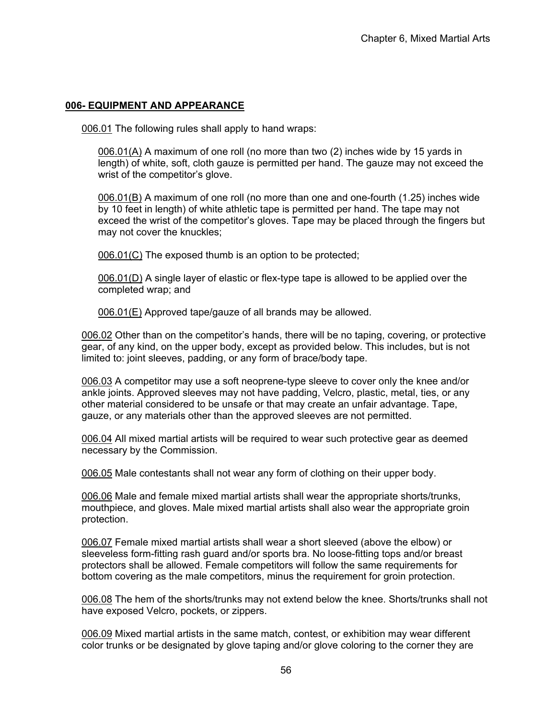# **006- EQUIPMENT AND APPEARANCE**

006.01 The following rules shall apply to hand wraps:

006.01(A) A maximum of one roll (no more than two (2) inches wide by 15 yards in length) of white, soft, cloth gauze is permitted per hand. The gauze may not exceed the wrist of the competitor's glove.

006.01(B) A maximum of one roll (no more than one and one-fourth (1.25) inches wide by 10 feet in length) of white athletic tape is permitted per hand. The tape may not exceed the wrist of the competitor's gloves. Tape may be placed through the fingers but may not cover the knuckles;

006.01(C) The exposed thumb is an option to be protected;

006.01(D) A single layer of elastic or flex-type tape is allowed to be applied over the completed wrap; and

006.01(E) Approved tape/gauze of all brands may be allowed.

006.02 Other than on the competitor's hands, there will be no taping, covering, or protective gear, of any kind, on the upper body, except as provided below. This includes, but is not limited to: joint sleeves, padding, or any form of brace/body tape.

006.03 A competitor may use a soft neoprene-type sleeve to cover only the knee and/or ankle joints. Approved sleeves may not have padding, Velcro, plastic, metal, ties, or any other material considered to be unsafe or that may create an unfair advantage. Tape, gauze, or any materials other than the approved sleeves are not permitted.

006.04 All mixed martial artists will be required to wear such protective gear as deemed necessary by the Commission.

006.05 Male contestants shall not wear any form of clothing on their upper body.

006.06 Male and female mixed martial artists shall wear the appropriate shorts/trunks, mouthpiece, and gloves. Male mixed martial artists shall also wear the appropriate groin protection.

006.07 Female mixed martial artists shall wear a short sleeved (above the elbow) or sleeveless form-fitting rash guard and/or sports bra. No loose-fitting tops and/or breast protectors shall be allowed. Female competitors will follow the same requirements for bottom covering as the male competitors, minus the requirement for groin protection.

006.08 The hem of the shorts/trunks may not extend below the knee. Shorts/trunks shall not have exposed Velcro, pockets, or zippers.

006.09 Mixed martial artists in the same match, contest, or exhibition may wear different color trunks or be designated by glove taping and/or glove coloring to the corner they are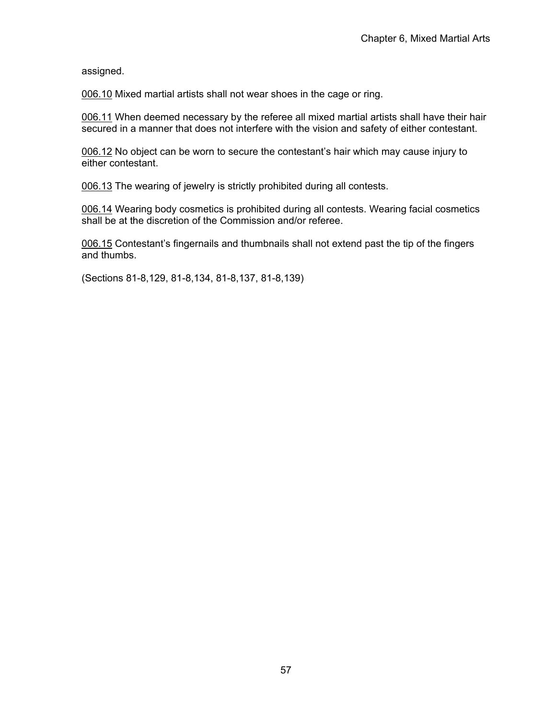assigned.

006.10 Mixed martial artists shall not wear shoes in the cage or ring.

006.11 When deemed necessary by the referee all mixed martial artists shall have their hair secured in a manner that does not interfere with the vision and safety of either contestant.

006.12 No object can be worn to secure the contestant's hair which may cause injury to either contestant.

006.13 The wearing of jewelry is strictly prohibited during all contests.

006.14 Wearing body cosmetics is prohibited during all contests. Wearing facial cosmetics shall be at the discretion of the Commission and/or referee.

006.15 Contestant's fingernails and thumbnails shall not extend past the tip of the fingers and thumbs.

(Sections 81-8,129, 81-8,134, 81-8,137, 81-8,139)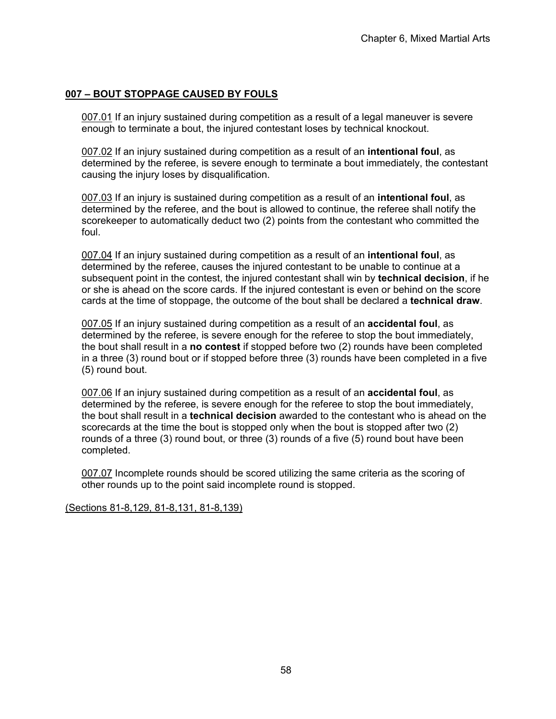# **007 – BOUT STOPPAGE CAUSED BY FOULS**

007.01 If an injury sustained during competition as a result of a legal maneuver is severe enough to terminate a bout, the injured contestant loses by technical knockout.

007.02 If an injury sustained during competition as a result of an **intentional foul**, as determined by the referee, is severe enough to terminate a bout immediately, the contestant causing the injury loses by disqualification.

007.03 If an injury is sustained during competition as a result of an **intentional foul**, as determined by the referee, and the bout is allowed to continue, the referee shall notify the scorekeeper to automatically deduct two (2) points from the contestant who committed the foul.

007.04 If an injury sustained during competition as a result of an **intentional foul**, as determined by the referee, causes the injured contestant to be unable to continue at a subsequent point in the contest, the injured contestant shall win by **technical decision**, if he or she is ahead on the score cards. If the injured contestant is even or behind on the score cards at the time of stoppage, the outcome of the bout shall be declared a **technical draw**.

007.05 If an injury sustained during competition as a result of an **accidental foul**, as determined by the referee, is severe enough for the referee to stop the bout immediately, the bout shall result in a **no contest** if stopped before two (2) rounds have been completed in a three (3) round bout or if stopped before three (3) rounds have been completed in a five (5) round bout.

007.06 If an injury sustained during competition as a result of an **accidental foul**, as determined by the referee, is severe enough for the referee to stop the bout immediately, the bout shall result in a **technical decision** awarded to the contestant who is ahead on the scorecards at the time the bout is stopped only when the bout is stopped after two (2) rounds of a three (3) round bout, or three (3) rounds of a five (5) round bout have been completed.

007.07 Incomplete rounds should be scored utilizing the same criteria as the scoring of other rounds up to the point said incomplete round is stopped.

(Sections 81-8,129, 81-8,131, 81-8,139)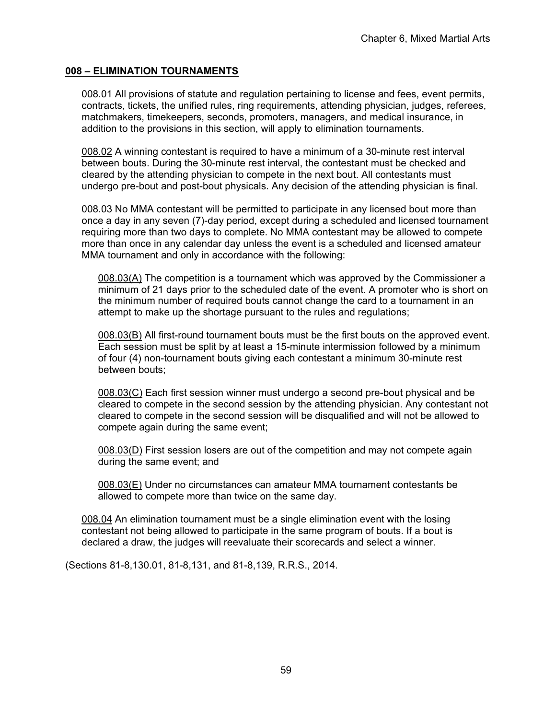## **008 – ELIMINATION TOURNAMENTS**

008.01 All provisions of statute and regulation pertaining to license and fees, event permits, contracts, tickets, the unified rules, ring requirements, attending physician, judges, referees, matchmakers, timekeepers, seconds, promoters, managers, and medical insurance, in addition to the provisions in this section, will apply to elimination tournaments.

008.02 A winning contestant is required to have a minimum of a 30-minute rest interval between bouts. During the 30-minute rest interval, the contestant must be checked and cleared by the attending physician to compete in the next bout. All contestants must undergo pre-bout and post-bout physicals. Any decision of the attending physician is final.

008.03 No MMA contestant will be permitted to participate in any licensed bout more than once a day in any seven (7)-day period, except during a scheduled and licensed tournament requiring more than two days to complete. No MMA contestant may be allowed to compete more than once in any calendar day unless the event is a scheduled and licensed amateur MMA tournament and only in accordance with the following:

008.03(A) The competition is a tournament which was approved by the Commissioner a minimum of 21 days prior to the scheduled date of the event. A promoter who is short on the minimum number of required bouts cannot change the card to a tournament in an attempt to make up the shortage pursuant to the rules and regulations;

008.03(B) All first-round tournament bouts must be the first bouts on the approved event. Each session must be split by at least a 15-minute intermission followed by a minimum of four (4) non-tournament bouts giving each contestant a minimum 30-minute rest between bouts;

008.03(C) Each first session winner must undergo a second pre-bout physical and be cleared to compete in the second session by the attending physician. Any contestant not cleared to compete in the second session will be disqualified and will not be allowed to compete again during the same event;

008.03(D) First session losers are out of the competition and may not compete again during the same event; and

008.03(E) Under no circumstances can amateur MMA tournament contestants be allowed to compete more than twice on the same day.

008.04 An elimination tournament must be a single elimination event with the losing contestant not being allowed to participate in the same program of bouts. If a bout is declared a draw, the judges will reevaluate their scorecards and select a winner.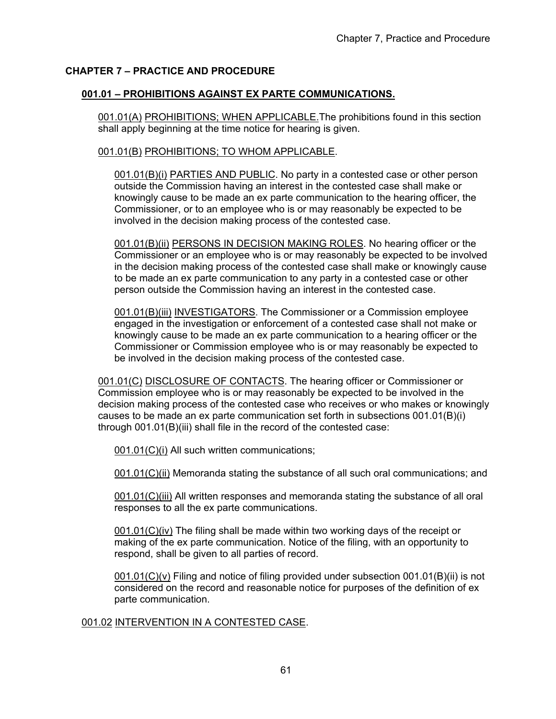# **CHAPTER 7 – PRACTICE AND PROCEDURE**

# **001.01 – PROHIBITIONS AGAINST EX PARTE COMMUNICATIONS.**

001.01(A) PROHIBITIONS; WHEN APPLICABLE. The prohibitions found in this section shall apply beginning at the time notice for hearing is given.

### 001.01(B) PROHIBITIONS; TO WHOM APPLICABLE.

001.01(B)(i) PARTIES AND PUBLIC. No party in a contested case or other person outside the Commission having an interest in the contested case shall make or knowingly cause to be made an ex parte communication to the hearing officer, the Commissioner, or to an employee who is or may reasonably be expected to be involved in the decision making process of the contested case.

001.01(B)(ii) PERSONS IN DECISION MAKING ROLES. No hearing officer or the Commissioner or an employee who is or may reasonably be expected to be involved in the decision making process of the contested case shall make or knowingly cause to be made an ex parte communication to any party in a contested case or other person outside the Commission having an interest in the contested case.

001.01(B)(iii) INVESTIGATORS. The Commissioner or a Commission employee engaged in the investigation or enforcement of a contested case shall not make or knowingly cause to be made an ex parte communication to a hearing officer or the Commissioner or Commission employee who is or may reasonably be expected to be involved in the decision making process of the contested case.

001.01(C) DISCLOSURE OF CONTACTS. The hearing officer or Commissioner or Commission employee who is or may reasonably be expected to be involved in the decision making process of the contested case who receives or who makes or knowingly causes to be made an ex parte communication set forth in subsections 001.01(B)(i) through 001.01(B)(iii) shall file in the record of the contested case:

001.01(C)(i) All such written communications;

001.01(C)(ii) Memoranda stating the substance of all such oral communications; and

001.01(C)(iii) All written responses and memoranda stating the substance of all oral responses to all the ex parte communications.

001.01(C)(iv) The filing shall be made within two working days of the receipt or making of the ex parte communication. Notice of the filing, with an opportunity to respond, shall be given to all parties of record.

 $001.01(C)(v)$  Filing and notice of filing provided under subsection  $001.01(B)(ii)$  is not considered on the record and reasonable notice for purposes of the definition of ex parte communication.

### 001.02 INTERVENTION IN A CONTESTED CASE.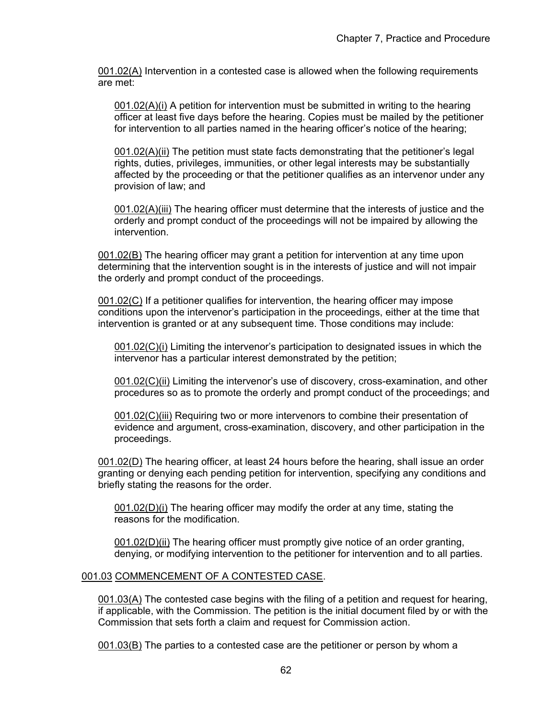001.02(A) Intervention in a contested case is allowed when the following requirements are met:

001.02(A)(i) A petition for intervention must be submitted in writing to the hearing officer at least five days before the hearing. Copies must be mailed by the petitioner for intervention to all parties named in the hearing officer's notice of the hearing;

001.02(A)(ii) The petition must state facts demonstrating that the petitioner's legal rights, duties, privileges, immunities, or other legal interests may be substantially affected by the proceeding or that the petitioner qualifies as an intervenor under any provision of law; and

001.02(A)(iii) The hearing officer must determine that the interests of justice and the orderly and prompt conduct of the proceedings will not be impaired by allowing the intervention.

001.02(B) The hearing officer may grant a petition for intervention at any time upon determining that the intervention sought is in the interests of justice and will not impair the orderly and prompt conduct of the proceedings.

001.02(C) If a petitioner qualifies for intervention, the hearing officer may impose conditions upon the intervenor's participation in the proceedings, either at the time that intervention is granted or at any subsequent time. Those conditions may include:

001.02(C)(i) Limiting the intervenor's participation to designated issues in which the intervenor has a particular interest demonstrated by the petition;

001.02(C)(ii) Limiting the intervenor's use of discovery, cross-examination, and other procedures so as to promote the orderly and prompt conduct of the proceedings; and

001.02(C)(iii) Requiring two or more intervenors to combine their presentation of evidence and argument, cross-examination, discovery, and other participation in the proceedings.

001.02(D) The hearing officer, at least 24 hours before the hearing, shall issue an order granting or denying each pending petition for intervention, specifying any conditions and briefly stating the reasons for the order.

001.02(D)(i) The hearing officer may modify the order at any time, stating the reasons for the modification.

001.02(D)(ii) The hearing officer must promptly give notice of an order granting, denying, or modifying intervention to the petitioner for intervention and to all parties.

# 001.03 COMMENCEMENT OF A CONTESTED CASE.

001.03(A) The contested case begins with the filing of a petition and request for hearing, if applicable, with the Commission. The petition is the initial document filed by or with the Commission that sets forth a claim and request for Commission action.

001.03(B) The parties to a contested case are the petitioner or person by whom a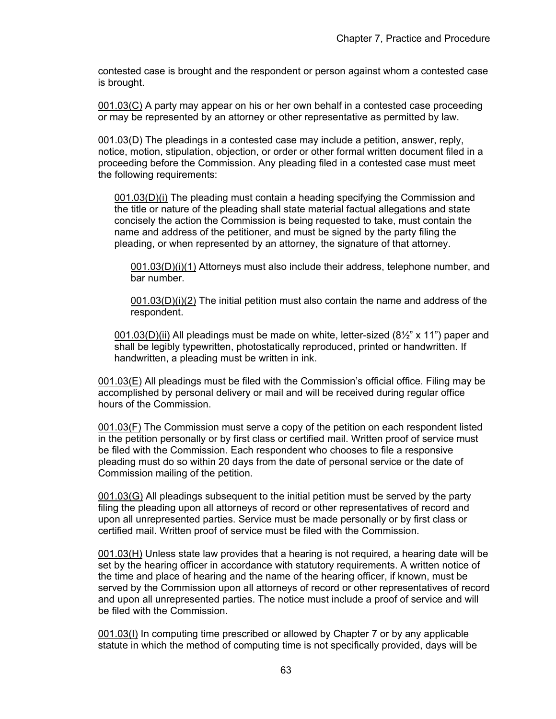contested case is brought and the respondent or person against whom a contested case is brought.

001.03(C) A party may appear on his or her own behalf in a contested case proceeding or may be represented by an attorney or other representative as permitted by law.

001.03(D) The pleadings in a contested case may include a petition, answer, reply, notice, motion, stipulation, objection, or order or other formal written document filed in a proceeding before the Commission. Any pleading filed in a contested case must meet the following requirements:

001.03(D)(i) The pleading must contain a heading specifying the Commission and the title or nature of the pleading shall state material factual allegations and state concisely the action the Commission is being requested to take, must contain the name and address of the petitioner, and must be signed by the party filing the pleading, or when represented by an attorney, the signature of that attorney.

001.03(D)(i)(1) Attorneys must also include their address, telephone number, and bar number.

 $001.03(D)(i)(2)$  The initial petition must also contain the name and address of the respondent.

001.03(D)(ii) All pleadings must be made on white, letter-sized  $(8\frac{1}{2})^{\circ}$  x 11") paper and shall be legibly typewritten, photostatically reproduced, printed or handwritten. If handwritten, a pleading must be written in ink.

001.03(E) All pleadings must be filed with the Commission's official office. Filing may be accomplished by personal delivery or mail and will be received during regular office hours of the Commission.

001.03(F) The Commission must serve a copy of the petition on each respondent listed in the petition personally or by first class or certified mail. Written proof of service must be filed with the Commission. Each respondent who chooses to file a responsive pleading must do so within 20 days from the date of personal service or the date of Commission mailing of the petition.

001.03(G) All pleadings subsequent to the initial petition must be served by the party filing the pleading upon all attorneys of record or other representatives of record and upon all unrepresented parties. Service must be made personally or by first class or certified mail. Written proof of service must be filed with the Commission.

 $001.03(H)$  Unless state law provides that a hearing is not required, a hearing date will be set by the hearing officer in accordance with statutory requirements. A written notice of the time and place of hearing and the name of the hearing officer, if known, must be served by the Commission upon all attorneys of record or other representatives of record and upon all unrepresented parties. The notice must include a proof of service and will be filed with the Commission.

001.03(I) In computing time prescribed or allowed by Chapter 7 or by any applicable statute in which the method of computing time is not specifically provided, days will be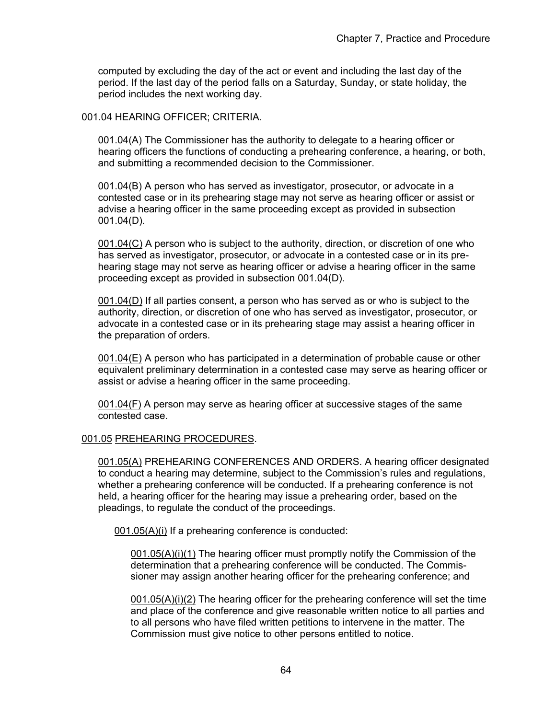computed by excluding the day of the act or event and including the last day of the period. If the last day of the period falls on a Saturday, Sunday, or state holiday, the period includes the next working day.

## 001.04 HEARING OFFICER; CRITERIA.

001.04(A) The Commissioner has the authority to delegate to a hearing officer or hearing officers the functions of conducting a prehearing conference, a hearing, or both, and submitting a recommended decision to the Commissioner.

001.04(B) A person who has served as investigator, prosecutor, or advocate in a contested case or in its prehearing stage may not serve as hearing officer or assist or advise a hearing officer in the same proceeding except as provided in subsection 001.04(D).

001.04(C) A person who is subject to the authority, direction, or discretion of one who has served as investigator, prosecutor, or advocate in a contested case or in its prehearing stage may not serve as hearing officer or advise a hearing officer in the same proceeding except as provided in subsection 001.04(D).

001.04(D) If all parties consent, a person who has served as or who is subject to the authority, direction, or discretion of one who has served as investigator, prosecutor, or advocate in a contested case or in its prehearing stage may assist a hearing officer in the preparation of orders.

001.04(E) A person who has participated in a determination of probable cause or other equivalent preliminary determination in a contested case may serve as hearing officer or assist or advise a hearing officer in the same proceeding.

001.04(F) A person may serve as hearing officer at successive stages of the same contested case.

### 001.05 PREHEARING PROCEDURES.

001.05(A) PREHEARING CONFERENCES AND ORDERS. A hearing officer designated to conduct a hearing may determine, subject to the Commission's rules and regulations, whether a prehearing conference will be conducted. If a prehearing conference is not held, a hearing officer for the hearing may issue a prehearing order, based on the pleadings, to regulate the conduct of the proceedings.

001.05(A)(i) If a prehearing conference is conducted:

001.05(A)(i)(1) The hearing officer must promptly notify the Commission of the determination that a prehearing conference will be conducted. The Commissioner may assign another hearing officer for the prehearing conference; and

001.05(A)(i)(2) The hearing officer for the prehearing conference will set the time and place of the conference and give reasonable written notice to all parties and to all persons who have filed written petitions to intervene in the matter. The Commission must give notice to other persons entitled to notice.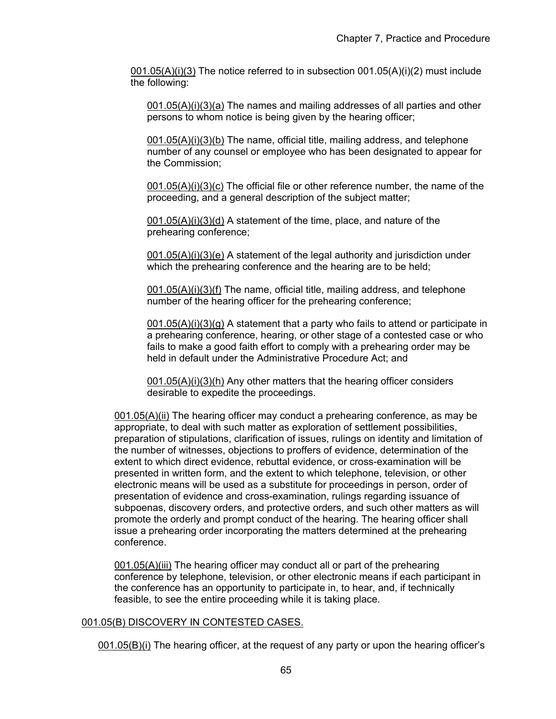$001.05(A)(i)(3)$  The notice referred to in subsection  $001.05(A)(i)(2)$  must include the following:

001.05(A)(i)(3)(a) The names and mailing addresses of all parties and other persons to whom notice is being given by the hearing officer;

001.05(A)(i)(3)(b) The name, official title, mailing address, and telephone number of any counsel or employee who has been designated to appear for the Commission;

001.05(A)(i)(3)(c) The official file or other reference number, the name of the proceeding, and a general description of the subject matter;

001.05(A)(i)(3)(d) A statement of the time, place, and nature of the prehearing conference;

001.05(A)(i)(3)(e) A statement of the legal authority and jurisdiction under which the prehearing conference and the hearing are to be held;

001.05(A)(i)(3)(f) The name, official title, mailing address, and telephone number of the hearing officer for the prehearing conference;

 $001.05(A)(i)(3)(q)$  A statement that a party who fails to attend or participate in a prehearing conference, hearing, or other stage of a contested case or who fails to make a good faith effort to comply with a prehearing order may be held in default under the Administrative Procedure Act; and

001.05(A)(i)(3)(h) Any other matters that the hearing officer considers desirable to expedite the proceedings.

001.05(A)(ii) The hearing officer may conduct a prehearing conference, as may be appropriate, to deal with such matter as exploration of settlement possibilities, preparation of stipulations, clarification of issues, rulings on identity and limitation of the number of witnesses, objections to proffers of evidence, determination of the extent to which direct evidence, rebuttal evidence, or cross-examination will be presented in written form, and the extent to which telephone, television, or other electronic means will be used as a substitute for proceedings in person, order of presentation of evidence and cross-examination, rulings regarding issuance of subpoenas, discovery orders, and protective orders, and such other matters as will promote the orderly and prompt conduct of the hearing. The hearing officer shall issue a prehearing order incorporating the matters determined at the prehearing conference.

001.05(A)(iii) The hearing officer may conduct all or part of the prehearing conference by telephone, television, or other electronic means if each participant in the conference has an opportunity to participate in, to hear, and, if technically feasible, to see the entire proceeding while it is taking place.

### 001.05(B) DISCOVERY IN CONTESTED CASES.

001.05(B)(i) The hearing officer, at the request of any party or upon the hearing officer's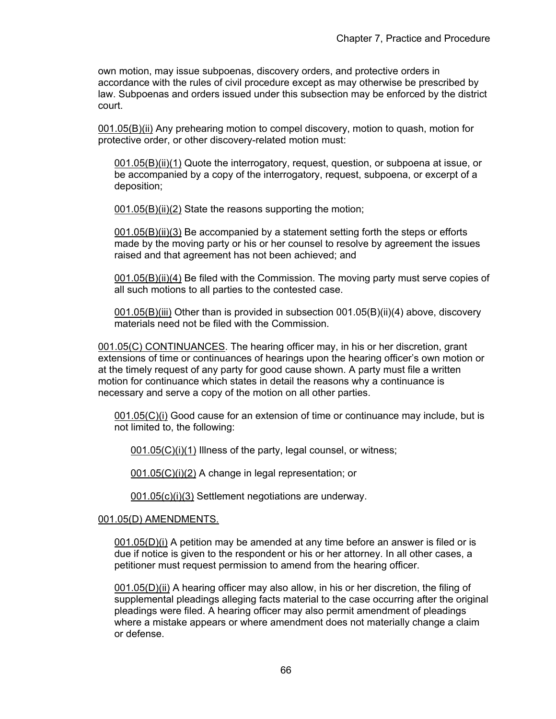own motion, may issue subpoenas, discovery orders, and protective orders in accordance with the rules of civil procedure except as may otherwise be prescribed by law. Subpoenas and orders issued under this subsection may be enforced by the district court.

001.05(B)(ii) Any prehearing motion to compel discovery, motion to quash, motion for protective order, or other discovery-related motion must:

001.05(B)(ii)(1) Quote the interrogatory, request, question, or subpoena at issue, or be accompanied by a copy of the interrogatory, request, subpoena, or excerpt of a deposition;

001.05(B)(ii)(2) State the reasons supporting the motion;

001.05(B)(ii)(3) Be accompanied by a statement setting forth the steps or efforts made by the moving party or his or her counsel to resolve by agreement the issues raised and that agreement has not been achieved; and

001.05(B)(ii)(4) Be filed with the Commission. The moving party must serve copies of all such motions to all parties to the contested case.

001.05(B)(iii) Other than is provided in subsection 001.05(B)(ii)(4) above, discovery materials need not be filed with the Commission.

001.05(C) CONTINUANCES. The hearing officer may, in his or her discretion, grant extensions of time or continuances of hearings upon the hearing officer's own motion or at the timely request of any party for good cause shown. A party must file a written motion for continuance which states in detail the reasons why a continuance is necessary and serve a copy of the motion on all other parties.

001.05(C)(i) Good cause for an extension of time or continuance may include, but is not limited to, the following:

001.05(C)(i)(1) Illness of the party, legal counsel, or witness;

001.05(C)(i)(2) A change in legal representation; or

001.05(c)(i)(3) Settlement negotiations are underway.

### 001.05(D) AMENDMENTS.

001.05(D)(i) A petition may be amended at any time before an answer is filed or is due if notice is given to the respondent or his or her attorney. In all other cases, a petitioner must request permission to amend from the hearing officer.

001.05(D)(ii) A hearing officer may also allow, in his or her discretion, the filing of supplemental pleadings alleging facts material to the case occurring after the original pleadings were filed. A hearing officer may also permit amendment of pleadings where a mistake appears or where amendment does not materially change a claim or defense.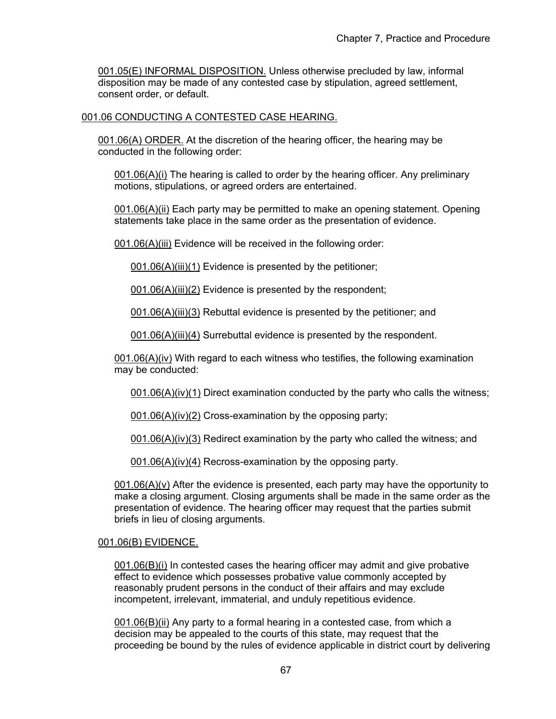001.05(E) INFORMAL DISPOSITION. Unless otherwise precluded by law, informal disposition may be made of any contested case by stipulation, agreed settlement, consent order, or default.

## 001.06 CONDUCTING A CONTESTED CASE HEARING.

001.06(A) ORDER. At the discretion of the hearing officer, the hearing may be conducted in the following order:

001.06(A)(i) The hearing is called to order by the hearing officer. Any preliminary motions, stipulations, or agreed orders are entertained.

001.06(A)(ii) Each party may be permitted to make an opening statement. Opening statements take place in the same order as the presentation of evidence.

001.06(A)(iii) Evidence will be received in the following order:

001.06(A)(iii)(1) Evidence is presented by the petitioner;

001.06(A)(iii)(2) Evidence is presented by the respondent;

001.06(A)(iii)(3) Rebuttal evidence is presented by the petitioner; and

001.06(A)(iii)(4) Surrebuttal evidence is presented by the respondent.

001.06(A)(iv) With regard to each witness who testifies, the following examination may be conducted:

001.06(A)(iv)(1) Direct examination conducted by the party who calls the witness;

001.06(A)(iv)(2) Cross-examination by the opposing party;

001.06(A)(iv)(3) Redirect examination by the party who called the witness: and

001.06(A)(iv)(4) Recross-examination by the opposing party.

 $001.06(A)(v)$  After the evidence is presented, each party may have the opportunity to make a closing argument. Closing arguments shall be made in the same order as the presentation of evidence. The hearing officer may request that the parties submit briefs in lieu of closing arguments.

### 001.06(B) EVIDENCE.

001.06(B)(i) In contested cases the hearing officer may admit and give probative effect to evidence which possesses probative value commonly accepted by reasonably prudent persons in the conduct of their affairs and may exclude incompetent, irrelevant, immaterial, and unduly repetitious evidence.

001.06(B)(ii) Any party to a formal hearing in a contested case, from which a decision may be appealed to the courts of this state, may request that the proceeding be bound by the rules of evidence applicable in district court by delivering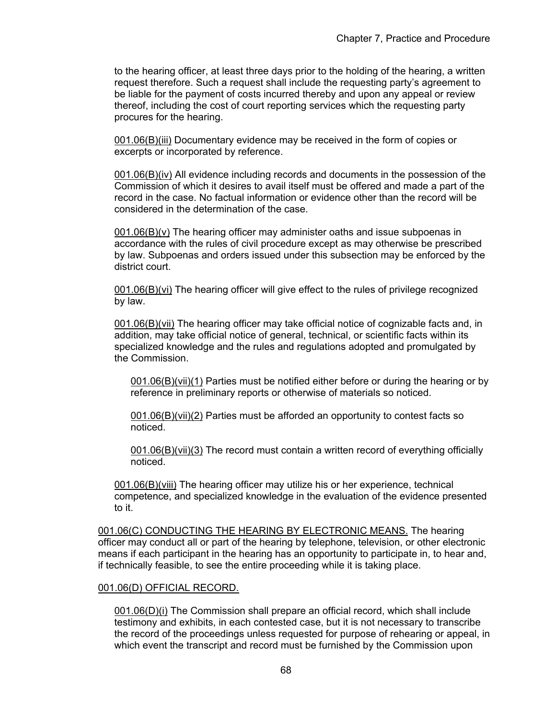to the hearing officer, at least three days prior to the holding of the hearing, a written request therefore. Such a request shall include the requesting party's agreement to be liable for the payment of costs incurred thereby and upon any appeal or review thereof, including the cost of court reporting services which the requesting party procures for the hearing.

001.06(B)(iii) Documentary evidence may be received in the form of copies or excerpts or incorporated by reference.

001.06(B)(iv) All evidence including records and documents in the possession of the Commission of which it desires to avail itself must be offered and made a part of the record in the case. No factual information or evidence other than the record will be considered in the determination of the case.

001.06(B)(v) The hearing officer may administer oaths and issue subpoenas in accordance with the rules of civil procedure except as may otherwise be prescribed by law. Subpoenas and orders issued under this subsection may be enforced by the district court.

001.06(B)(vi) The hearing officer will give effect to the rules of privilege recognized by law.

001.06(B)(vii) The hearing officer may take official notice of cognizable facts and, in addition, may take official notice of general, technical, or scientific facts within its specialized knowledge and the rules and regulations adopted and promulgated by the Commission.

001.06(B)(vii)(1) Parties must be notified either before or during the hearing or by reference in preliminary reports or otherwise of materials so noticed.

001.06(B)(vii)(2) Parties must be afforded an opportunity to contest facts so noticed.

001.06(B)(vii)(3) The record must contain a written record of everything officially noticed.

001.06(B)(viii) The hearing officer may utilize his or her experience, technical competence, and specialized knowledge in the evaluation of the evidence presented to it.

001.06(C) CONDUCTING THE HEARING BY ELECTRONIC MEANS. The hearing officer may conduct all or part of the hearing by telephone, television, or other electronic means if each participant in the hearing has an opportunity to participate in, to hear and, if technically feasible, to see the entire proceeding while it is taking place.

### 001.06(D) OFFICIAL RECORD.

001.06(D)(i) The Commission shall prepare an official record, which shall include testimony and exhibits, in each contested case, but it is not necessary to transcribe the record of the proceedings unless requested for purpose of rehearing or appeal, in which event the transcript and record must be furnished by the Commission upon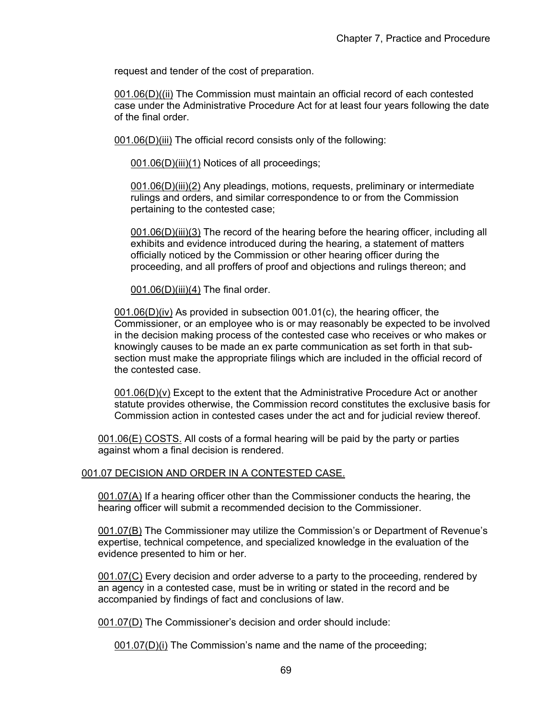request and tender of the cost of preparation.

001.06(D)((ii) The Commission must maintain an official record of each contested case under the Administrative Procedure Act for at least four years following the date of the final order.

001.06(D)(iii) The official record consists only of the following:

001.06(D)(iii)(1) Notices of all proceedings;

001.06(D)(iii)(2) Any pleadings, motions, requests, preliminary or intermediate rulings and orders, and similar correspondence to or from the Commission pertaining to the contested case;

001.06(D)(iii)(3) The record of the hearing before the hearing officer, including all exhibits and evidence introduced during the hearing, a statement of matters officially noticed by the Commission or other hearing officer during the proceeding, and all proffers of proof and objections and rulings thereon; and

 $001.06(D)$ (iii)(4) The final order.

001.06(D)(iv) As provided in subsection 001.01(c), the hearing officer, the Commissioner, or an employee who is or may reasonably be expected to be involved in the decision making process of the contested case who receives or who makes or knowingly causes to be made an ex parte communication as set forth in that subsection must make the appropriate filings which are included in the official record of the contested case.

001.06(D)(v) Except to the extent that the Administrative Procedure Act or another statute provides otherwise, the Commission record constitutes the exclusive basis for Commission action in contested cases under the act and for judicial review thereof.

001.06(E) COSTS. All costs of a formal hearing will be paid by the party or parties against whom a final decision is rendered.

# 001.07 DECISION AND ORDER IN A CONTESTED CASE.

001.07(A) If a hearing officer other than the Commissioner conducts the hearing, the hearing officer will submit a recommended decision to the Commissioner.

001.07(B) The Commissioner may utilize the Commission's or Department of Revenue's expertise, technical competence, and specialized knowledge in the evaluation of the evidence presented to him or her.

001.07(C) Every decision and order adverse to a party to the proceeding, rendered by an agency in a contested case, must be in writing or stated in the record and be accompanied by findings of fact and conclusions of law.

001.07(D) The Commissioner's decision and order should include:

001.07(D)(i) The Commission's name and the name of the proceeding;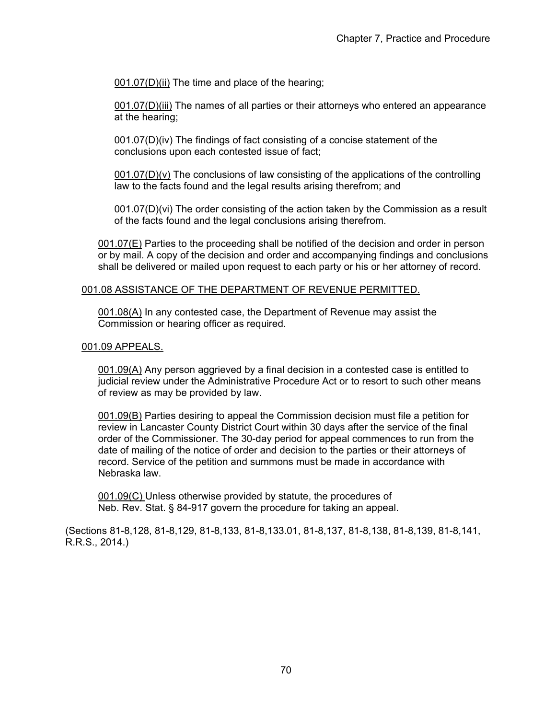001.07(D)(ii) The time and place of the hearing;

001.07(D)(iii) The names of all parties or their attorneys who entered an appearance at the hearing;

001.07(D)(iv) The findings of fact consisting of a concise statement of the conclusions upon each contested issue of fact;

 $001.07(D)(v)$  The conclusions of law consisting of the applications of the controlling law to the facts found and the legal results arising therefrom; and

001.07(D)(vi) The order consisting of the action taken by the Commission as a result of the facts found and the legal conclusions arising therefrom.

001.07(E) Parties to the proceeding shall be notified of the decision and order in person or by mail. A copy of the decision and order and accompanying findings and conclusions shall be delivered or mailed upon request to each party or his or her attorney of record.

#### 001.08 ASSISTANCE OF THE DEPARTMENT OF REVENUE PERMITTED.

001.08(A) In any contested case, the Department of Revenue may assist the Commission or hearing officer as required.

### 001.09 APPEALS.

001.09(A) Any person aggrieved by a final decision in a contested case is entitled to judicial review under the Administrative Procedure Act or to resort to such other means of review as may be provided by law.

001.09(B) Parties desiring to appeal the Commission decision must file a petition for review in Lancaster County District Court within 30 days after the service of the final order of the Commissioner. The 30-day period for appeal commences to run from the date of mailing of the notice of order and decision to the parties or their attorneys of record. Service of the petition and summons must be made in accordance with Nebraska law.

001.09(C) Unless otherwise provided by statute, the procedures of Neb. Rev. Stat. § 84-917 govern the procedure for taking an appeal.

(Sections 81-8,128, 81-8,129, 81-8,133, 81-8,133.01, 81-8,137, 81-8,138, 81-8,139, 81-8,141, R.R.S., 2014.)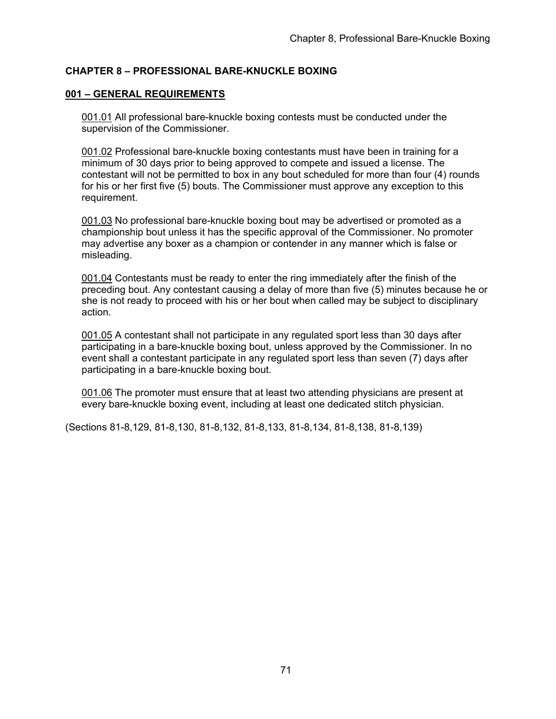# **CHAPTER 8 – PROFESSIONAL BARE-KNUCKLE BOXING**

## **001 – GENERAL REQUIREMENTS**

001.01 All professional bare-knuckle boxing contests must be conducted under the supervision of the Commissioner.

001.02 Professional bare-knuckle boxing contestants must have been in training for a minimum of 30 days prior to being approved to compete and issued a license. The contestant will not be permitted to box in any bout scheduled for more than four (4) rounds for his or her first five (5) bouts. The Commissioner must approve any exception to this requirement.

001.03 No professional bare-knuckle boxing bout may be advertised or promoted as a championship bout unless it has the specific approval of the Commissioner. No promoter may advertise any boxer as a champion or contender in any manner which is false or misleading.

001.04 Contestants must be ready to enter the ring immediately after the finish of the preceding bout. Any contestant causing a delay of more than five (5) minutes because he or she is not ready to proceed with his or her bout when called may be subject to disciplinary action.

001.05 A contestant shall not participate in any regulated sport less than 30 days after participating in a bare-knuckle boxing bout, unless approved by the Commissioner. In no event shall a contestant participate in any regulated sport less than seven (7) days after participating in a bare-knuckle boxing bout.

001.06 The promoter must ensure that at least two attending physicians are present at every bare-knuckle boxing event, including at least one dedicated stitch physician.

(Sections 81-8,129, 81-8,130, 81-8,132, 81-8,133, 81-8,134, 81-8,138, 81-8,139)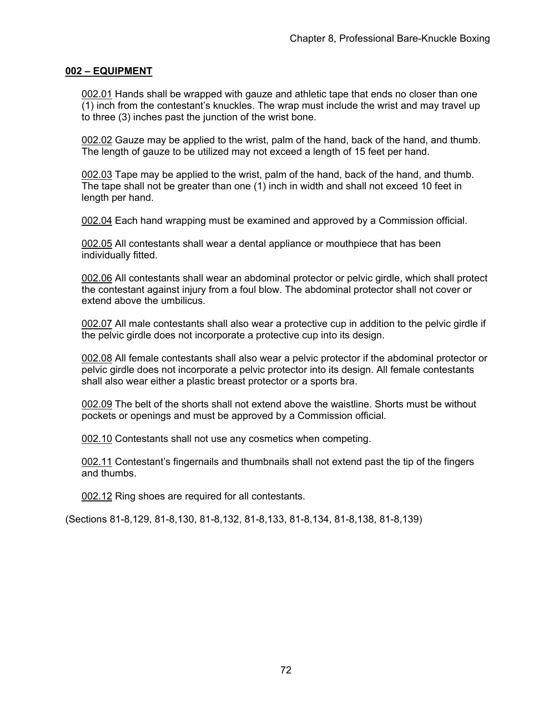# **002 – EQUIPMENT**

002.01 Hands shall be wrapped with gauze and athletic tape that ends no closer than one (1) inch from the contestant's knuckles. The wrap must include the wrist and may travel up to three (3) inches past the junction of the wrist bone.

002.02 Gauze may be applied to the wrist, palm of the hand, back of the hand, and thumb. The length of gauze to be utilized may not exceed a length of 15 feet per hand.

002.03 Tape may be applied to the wrist, palm of the hand, back of the hand, and thumb. The tape shall not be greater than one (1) inch in width and shall not exceed 10 feet in length per hand.

002.04 Each hand wrapping must be examined and approved by a Commission official.

002.05 All contestants shall wear a dental appliance or mouthpiece that has been individually fitted.

002.06 All contestants shall wear an abdominal protector or pelvic girdle, which shall protect the contestant against injury from a foul blow. The abdominal protector shall not cover or extend above the umbilicus.

002.07 All male contestants shall also wear a protective cup in addition to the pelvic girdle if the pelvic girdle does not incorporate a protective cup into its design.

002.08 All female contestants shall also wear a pelvic protector if the abdominal protector or pelvic girdle does not incorporate a pelvic protector into its design. All female contestants shall also wear either a plastic breast protector or a sports bra.

002.09 The belt of the shorts shall not extend above the waistline. Shorts must be without pockets or openings and must be approved by a Commission official.

002.10 Contestants shall not use any cosmetics when competing.

002.11 Contestant's fingernails and thumbnails shall not extend past the tip of the fingers and thumbs.

002.12 Ring shoes are required for all contestants.

(Sections 81-8,129, 81-8,130, 81-8,132, 81-8,133, 81-8,134, 81-8,138, 81-8,139)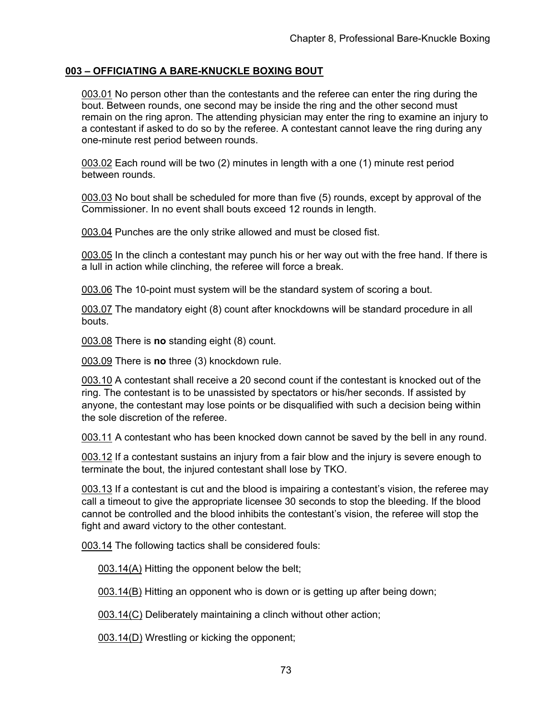# **003 – OFFICIATING A BARE-KNUCKLE BOXING BOUT**

003.01 No person other than the contestants and the referee can enter the ring during the bout. Between rounds, one second may be inside the ring and the other second must remain on the ring apron. The attending physician may enter the ring to examine an injury to a contestant if asked to do so by the referee. A contestant cannot leave the ring during any one-minute rest period between rounds.

003.02 Each round will be two (2) minutes in length with a one (1) minute rest period between rounds.

003.03 No bout shall be scheduled for more than five (5) rounds, except by approval of the Commissioner. In no event shall bouts exceed 12 rounds in length.

003.04 Punches are the only strike allowed and must be closed fist.

003.05 In the clinch a contestant may punch his or her way out with the free hand. If there is a lull in action while clinching, the referee will force a break.

003.06 The 10-point must system will be the standard system of scoring a bout.

003.07 The mandatory eight (8) count after knockdowns will be standard procedure in all bouts.

003.08 There is **no** standing eight (8) count.

003.09 There is **no** three (3) knockdown rule.

003.10 A contestant shall receive a 20 second count if the contestant is knocked out of the ring. The contestant is to be unassisted by spectators or his/her seconds. If assisted by anyone, the contestant may lose points or be disqualified with such a decision being within the sole discretion of the referee.

003.11 A contestant who has been knocked down cannot be saved by the bell in any round.

003.12 If a contestant sustains an injury from a fair blow and the injury is severe enough to terminate the bout, the injured contestant shall lose by TKO.

003.13 If a contestant is cut and the blood is impairing a contestant's vision, the referee may call a timeout to give the appropriate licensee 30 seconds to stop the bleeding. If the blood cannot be controlled and the blood inhibits the contestant's vision, the referee will stop the fight and award victory to the other contestant.

003.14 The following tactics shall be considered fouls:

003.14(A) Hitting the opponent below the belt;

003.14(B) Hitting an opponent who is down or is getting up after being down;

003.14(C) Deliberately maintaining a clinch without other action;

003.14(D) Wrestling or kicking the opponent;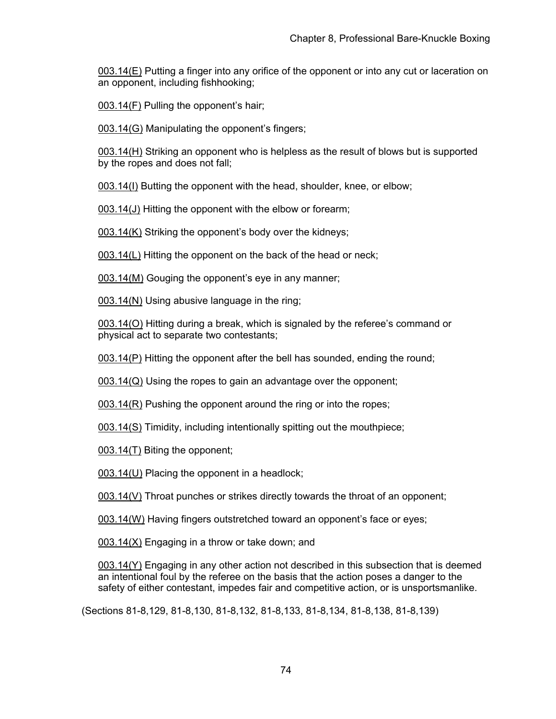003.14(E) Putting a finger into any orifice of the opponent or into any cut or laceration on an opponent, including fishhooking;

003.14(F) Pulling the opponent's hair;

003.14(G) Manipulating the opponent's fingers;

003.14(H) Striking an opponent who is helpless as the result of blows but is supported by the ropes and does not fall;

003.14(I) Butting the opponent with the head, shoulder, knee, or elbow;

003.14(J) Hitting the opponent with the elbow or forearm;

003.14(K) Striking the opponent's body over the kidneys;

003.14(L) Hitting the opponent on the back of the head or neck;

003.14(M) Gouging the opponent's eye in any manner;

003.14(N) Using abusive language in the ring;

003.14(O) Hitting during a break, which is signaled by the referee's command or physical act to separate two contestants;

003.14(P) Hitting the opponent after the bell has sounded, ending the round;

003.14(Q) Using the ropes to gain an advantage over the opponent;

003.14(R) Pushing the opponent around the ring or into the ropes;

003.14(S) Timidity, including intentionally spitting out the mouthpiece;

003.14(T) Biting the opponent;

003.14(U) Placing the opponent in a headlock;

003.14(V) Throat punches or strikes directly towards the throat of an opponent;

003.14(W) Having fingers outstretched toward an opponent's face or eyes;

003.14(X) Engaging in a throw or take down; and

003.14(Y) Engaging in any other action not described in this subsection that is deemed an intentional foul by the referee on the basis that the action poses a danger to the safety of either contestant, impedes fair and competitive action, or is unsportsmanlike.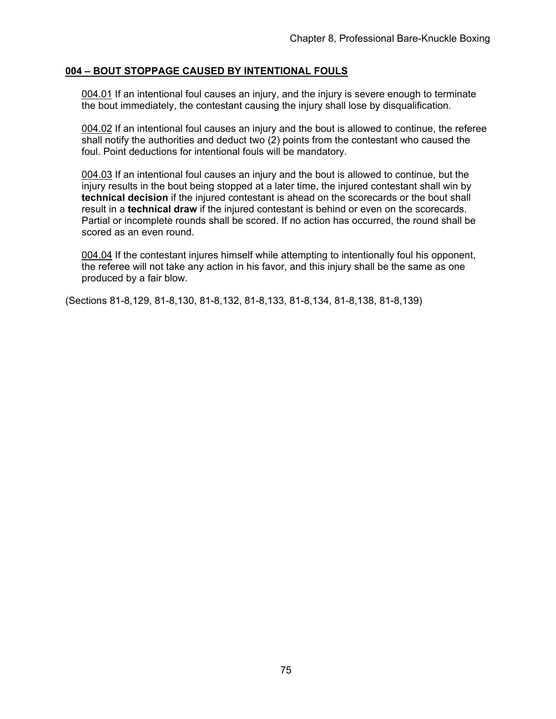### **004 – BOUT STOPPAGE CAUSED BY INTENTIONAL FOULS**

004.01 If an intentional foul causes an injury, and the injury is severe enough to terminate the bout immediately, the contestant causing the injury shall lose by disqualification.

004.02 If an intentional foul causes an injury and the bout is allowed to continue, the referee shall notify the authorities and deduct two (2) points from the contestant who caused the foul. Point deductions for intentional fouls will be mandatory.

004.03 If an intentional foul causes an injury and the bout is allowed to continue, but the injury results in the bout being stopped at a later time, the injured contestant shall win by **technical decision** if the injured contestant is ahead on the scorecards or the bout shall result in a **technical draw** if the injured contestant is behind or even on the scorecards. Partial or incomplete rounds shall be scored. If no action has occurred, the round shall be scored as an even round.

004.04 If the contestant injures himself while attempting to intentionally foul his opponent, the referee will not take any action in his favor, and this injury shall be the same as one produced by a fair blow.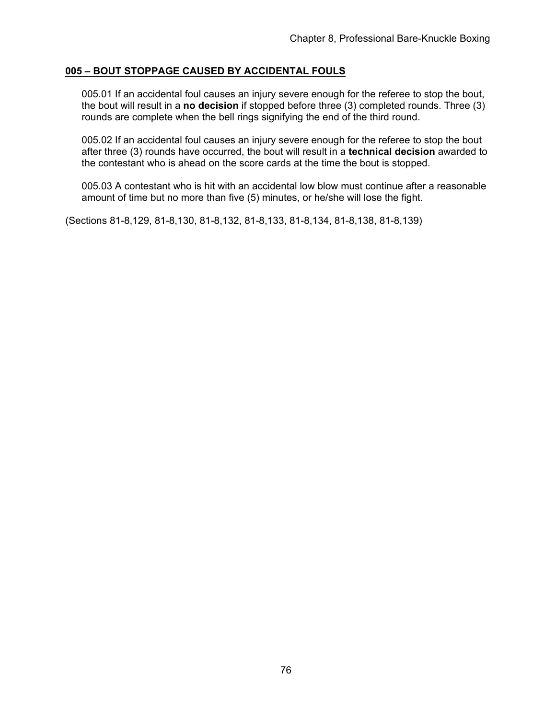### **005 – BOUT STOPPAGE CAUSED BY ACCIDENTAL FOULS**

005.01 If an accidental foul causes an injury severe enough for the referee to stop the bout, the bout will result in a **no decision** if stopped before three (3) completed rounds. Three (3) rounds are complete when the bell rings signifying the end of the third round.

005.02 If an accidental foul causes an injury severe enough for the referee to stop the bout after three (3) rounds have occurred, the bout will result in a **technical decision** awarded to the contestant who is ahead on the score cards at the time the bout is stopped.

005.03 A contestant who is hit with an accidental low blow must continue after a reasonable amount of time but no more than five (5) minutes, or he/she will lose the fight.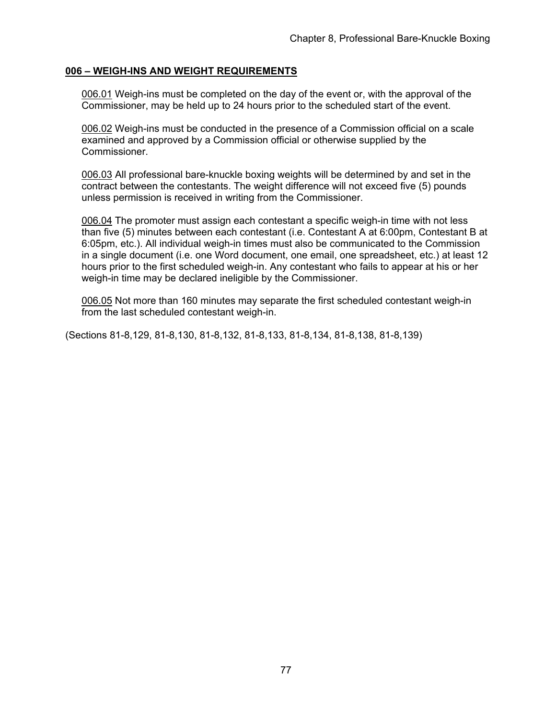### **006 – WEIGH-INS AND WEIGHT REQUIREMENTS**

006.01 Weigh-ins must be completed on the day of the event or, with the approval of the Commissioner, may be held up to 24 hours prior to the scheduled start of the event.

006.02 Weigh-ins must be conducted in the presence of a Commission official on a scale examined and approved by a Commission official or otherwise supplied by the Commissioner.

006.03 All professional bare-knuckle boxing weights will be determined by and set in the contract between the contestants. The weight difference will not exceed five (5) pounds unless permission is received in writing from the Commissioner.

006.04 The promoter must assign each contestant a specific weigh-in time with not less than five (5) minutes between each contestant (i.e. Contestant A at 6:00pm, Contestant B at 6:05pm, etc.). All individual weigh-in times must also be communicated to the Commission in a single document (i.e. one Word document, one email, one spreadsheet, etc.) at least 12 hours prior to the first scheduled weigh-in. Any contestant who fails to appear at his or her weigh-in time may be declared ineligible by the Commissioner.

006.05 Not more than 160 minutes may separate the first scheduled contestant weigh-in from the last scheduled contestant weigh-in.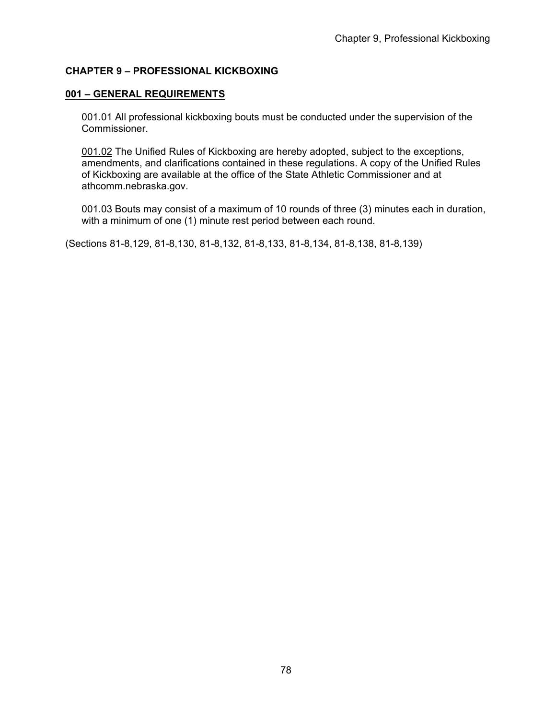# **CHAPTER 9 – PROFESSIONAL KICKBOXING**

### **001 – GENERAL REQUIREMENTS**

001.01 All professional kickboxing bouts must be conducted under the supervision of the Commissioner.

001.02 The Unified Rules of Kickboxing are hereby adopted, subject to the exceptions, amendments, and clarifications contained in these regulations. A copy of the Unified Rules of Kickboxing are available at the office of the State Athletic Commissioner and at athcomm.nebraska.gov.

001.03 Bouts may consist of a maximum of 10 rounds of three (3) minutes each in duration, with a minimum of one (1) minute rest period between each round.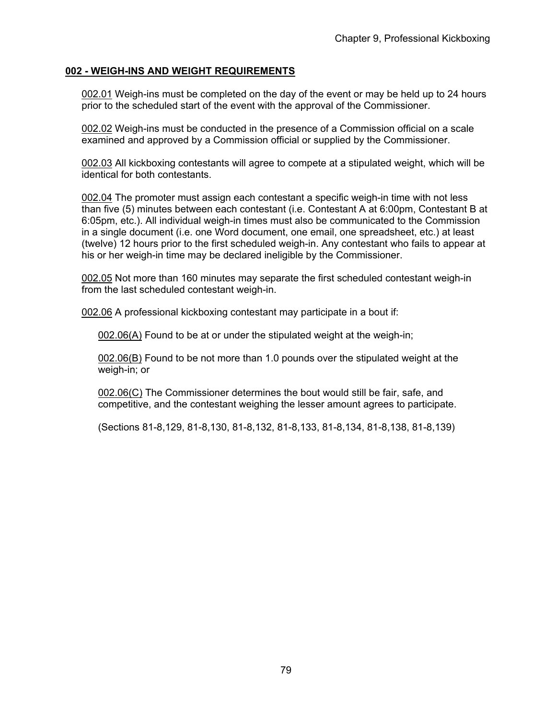### **002 - WEIGH-INS AND WEIGHT REQUIREMENTS**

002.01 Weigh-ins must be completed on the day of the event or may be held up to 24 hours prior to the scheduled start of the event with the approval of the Commissioner.

002.02 Weigh-ins must be conducted in the presence of a Commission official on a scale examined and approved by a Commission official or supplied by the Commissioner.

002.03 All kickboxing contestants will agree to compete at a stipulated weight, which will be identical for both contestants.

002.04 The promoter must assign each contestant a specific weigh-in time with not less than five (5) minutes between each contestant (i.e. Contestant A at 6:00pm, Contestant B at 6:05pm, etc.). All individual weigh-in times must also be communicated to the Commission in a single document (i.e. one Word document, one email, one spreadsheet, etc.) at least (twelve) 12 hours prior to the first scheduled weigh-in. Any contestant who fails to appear at his or her weigh-in time may be declared ineligible by the Commissioner.

002.05 Not more than 160 minutes may separate the first scheduled contestant weigh-in from the last scheduled contestant weigh-in.

002.06 A professional kickboxing contestant may participate in a bout if:

002.06(A) Found to be at or under the stipulated weight at the weigh-in;

002.06(B) Found to be not more than 1.0 pounds over the stipulated weight at the weigh-in; or

002.06(C) The Commissioner determines the bout would still be fair, safe, and competitive, and the contestant weighing the lesser amount agrees to participate.